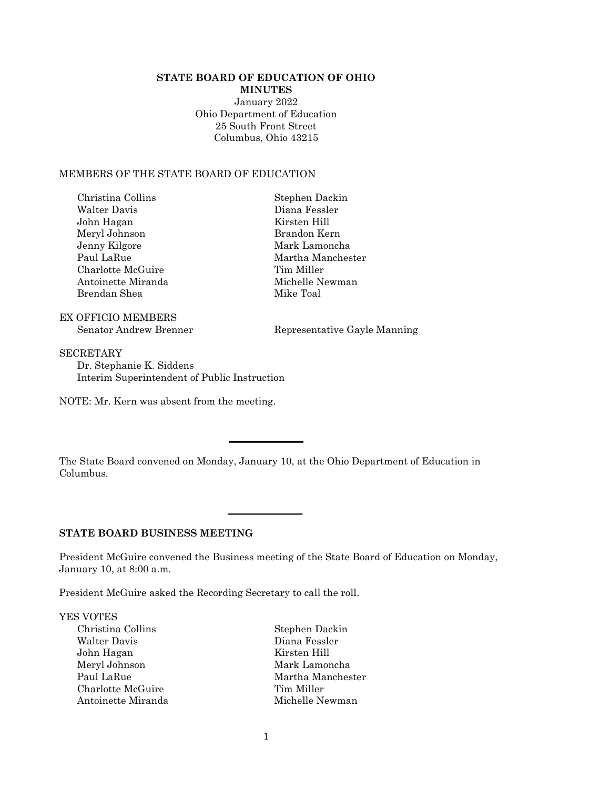### **STATE BOARD OF EDUCATION OF OHIO MINUTES**

January 2022 Ohio Department of Education 25 South Front Street Columbus, Ohio 43215

### MEMBERS OF THE STATE BOARD OF EDUCATION

| Christina Collins  |
|--------------------|
| Walter Davis       |
| John Hagan         |
| Meryl Johnson      |
| Jenny Kilgore      |
| Paul LaRue         |
| Charlotte McGuire  |
| Antoinette Miranda |
| Brendan Shea       |

EX OFFICIO MEMBERS

Stephen Dackin Diana Fessler Kirsten Hill Brandon Kern Mark Lamoncha Martha Manchester Tim Miller Michelle Newman Mike Toal

Senator Andrew Brenner Representative Gayle Manning

**SECRETARY** Dr. Stephanie K. Siddens Interim Superintendent of Public Instruction

NOTE: Mr. Kern was absent from the meeting.

The State Board convened on Monday, January 10, at the Ohio Department of Education in Columbus.

 $\overline{\phantom{a}}$  , where  $\overline{\phantom{a}}$ 

 $\overline{\phantom{a}}$  , where  $\overline{\phantom{a}}$ 

# **STATE BOARD BUSINESS MEETING**

President McGuire convened the Business meeting of the State Board of Education on Monday, January 10, at 8:00 a.m.

President McGuire asked the Recording Secretary to call the roll.

YES VOTES

Christina Collins Stephen Dackin<br>Walter Davis Diana Fessler John Hagan Kirsten Hill Paul LaRue Martha Manchester Charlotte McGuire Tim Miller Antoinette Miranda Michelle Newman

Diana Fessler Mark Lamoncha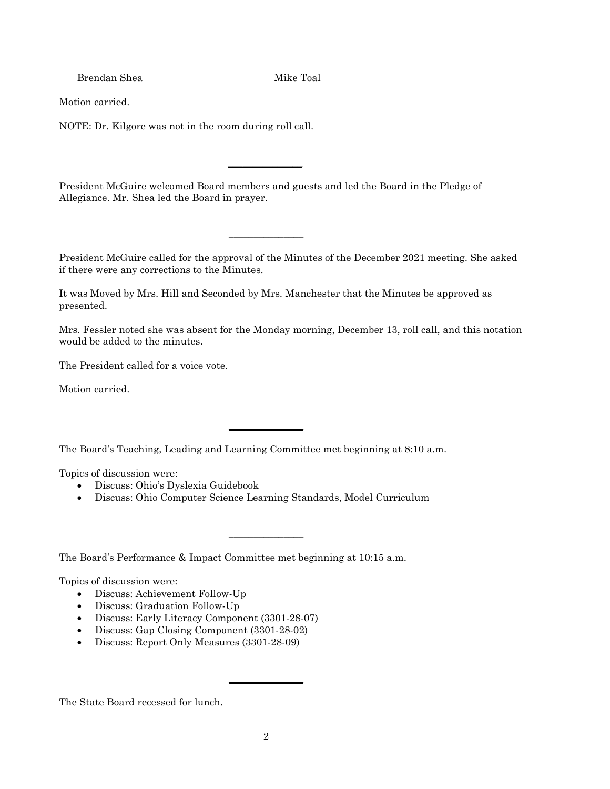Brendan Shea Mike Toal

Motion carried.

NOTE: Dr. Kilgore was not in the room during roll call.

President McGuire welcomed Board members and guests and led the Board in the Pledge of Allegiance. Mr. Shea led the Board in prayer.

 $\overline{\phantom{a}}$  , where  $\overline{\phantom{a}}$ 

 $\overline{\phantom{a}}$  , where  $\overline{\phantom{a}}$ 

President McGuire called for the approval of the Minutes of the December 2021 meeting. She asked if there were any corrections to the Minutes.

It was Moved by Mrs. Hill and Seconded by Mrs. Manchester that the Minutes be approved as presented.

Mrs. Fessler noted she was absent for the Monday morning, December 13, roll call, and this notation would be added to the minutes.

The President called for a voice vote.

Motion carried.

The Board's Teaching, Leading and Learning Committee met beginning at 8:10 a.m.

 $\overline{\phantom{a}}$  , where  $\overline{\phantom{a}}$ 

Topics of discussion were:

- Discuss: Ohio's Dyslexia Guidebook
- Discuss: Ohio Computer Science Learning Standards, Model Curriculum

 $\overline{\phantom{a}}$  , where  $\overline{\phantom{a}}$ 

The Board's Performance & Impact Committee met beginning at 10:15 a.m.

Topics of discussion were:

- Discuss: Achievement Follow-Up
- Discuss: Graduation Follow-Up
- Discuss: Early Literacy Component (3301-28-07)
- Discuss: Gap Closing Component (3301-28-02)
- Discuss: Report Only Measures (3301-28-09)

The State Board recessed for lunch.

 $\overline{\phantom{a}}$  , where  $\overline{\phantom{a}}$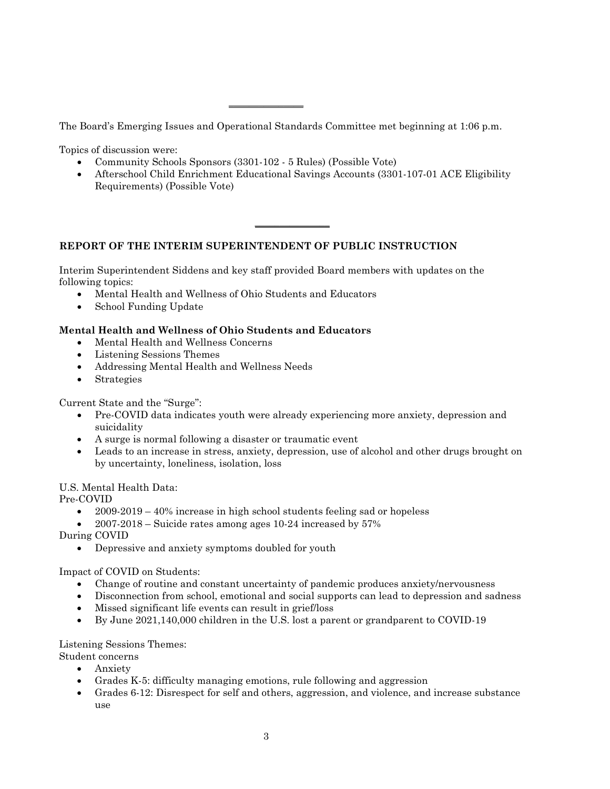The Board's Emerging Issues and Operational Standards Committee met beginning at 1:06 p.m.

\_\_\_\_\_\_\_\_\_\_\_\_\_\_\_

Topics of discussion were:

- Community Schools Sponsors (3301-102 5 Rules) (Possible Vote)
- Afterschool Child Enrichment Educational Savings Accounts (3301-107-01 ACE Eligibility Requirements) (Possible Vote)

 $\overline{\phantom{a}}$  , where  $\overline{\phantom{a}}$ 

# **REPORT OF THE INTERIM SUPERINTENDENT OF PUBLIC INSTRUCTION**

Interim Superintendent Siddens and key staff provided Board members with updates on the following topics:

- Mental Health and Wellness of Ohio Students and Educators
- School Funding Update

# **Mental Health and Wellness of Ohio Students and Educators**

- Mental Health and Wellness Concerns
- Listening Sessions Themes
- Addressing Mental Health and Wellness Needs
- Strategies

Current State and the "Surge":

- Pre-COVID data indicates youth were already experiencing more anxiety, depression and suicidality
- A surge is normal following a disaster or traumatic event
- Leads to an increase in stress, anxiety, depression, use of alcohol and other drugs brought on by uncertainty, loneliness, isolation, loss

# U.S. Mental Health Data:

Pre-COVID

- $2009-2019-40\%$  increase in high school students feeling sad or hopeless
- $2007-2018$  Suicide rates among ages 10-24 increased by 57%

During COVID

• Depressive and anxiety symptoms doubled for youth

Impact of COVID on Students:

- Change of routine and constant uncertainty of pandemic produces anxiety/nervousness
- Disconnection from school, emotional and social supports can lead to depression and sadness
- Missed significant life events can result in grief/loss
- By June 2021,140,000 children in the U.S. lost a parent or grandparent to COVID-19

Listening Sessions Themes:

- Student concerns
	- Anxiety
	- Grades K-5: difficulty managing emotions, rule following and aggression
	- Grades 6-12: Disrespect for self and others, aggression, and violence, and increase substance use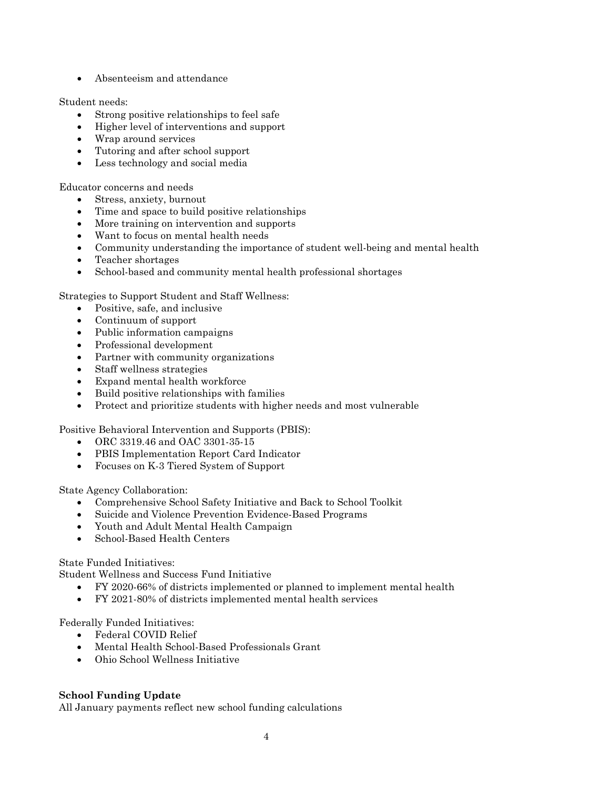• Absenteeism and attendance

Student needs:

- Strong positive relationships to feel safe
- Higher level of interventions and support
- Wrap around services
- Tutoring and after school support
- Less technology and social media

Educator concerns and needs

- Stress, anxiety, burnout
- Time and space to build positive relationships
- More training on intervention and supports
- Want to focus on mental health needs
- Community understanding the importance of student well-being and mental health
- Teacher shortages
- School-based and community mental health professional shortages

Strategies to Support Student and Staff Wellness:

- Positive, safe, and inclusive
- Continuum of support
- Public information campaigns
- Professional development
- Partner with community organizations
- Staff wellness strategies
- Expand mental health workforce
- Build positive relationships with families
- Protect and prioritize students with higher needs and most vulnerable

Positive Behavioral Intervention and Supports (PBIS):

- ORC 3319.46 and OAC 3301-35-15
- PBIS Implementation Report Card Indicator
- Focuses on K-3 Tiered System of Support

State Agency Collaboration:

- Comprehensive School Safety Initiative and Back to School Toolkit
- Suicide and Violence Prevention Evidence-Based Programs
- Youth and Adult Mental Health Campaign
- School-Based Health Centers

### State Funded Initiatives:

Student Wellness and Success Fund Initiative

- FY 2020-66% of districts implemented or planned to implement mental health
- FY 2021-80% of districts implemented mental health services

Federally Funded Initiatives:

- Federal COVID Relief
- Mental Health School-Based Professionals Grant
- Ohio School Wellness Initiative

# **School Funding Update**

All January payments reflect new school funding calculations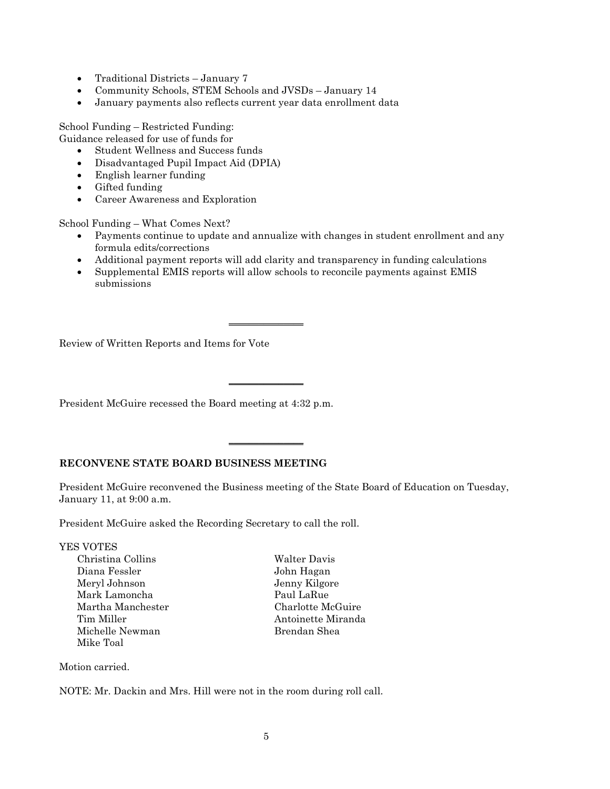- Traditional Districts January 7
- Community Schools, STEM Schools and JVSDs January 14
- January payments also reflects current year data enrollment data

School Funding – Restricted Funding:

Guidance released for use of funds for

- Student Wellness and Success funds
- Disadvantaged Pupil Impact Aid (DPIA)
- English learner funding
- Gifted funding
- Career Awareness and Exploration

School Funding – What Comes Next?

- Payments continue to update and annualize with changes in student enrollment and any formula edits/corrections
- Additional payment reports will add clarity and transparency in funding calculations
- Supplemental EMIS reports will allow schools to reconcile payments against EMIS submissions

 $\overline{\phantom{a}}$  , where  $\overline{\phantom{a}}$ 

\_\_\_\_\_\_\_\_\_\_\_\_\_\_\_

\_\_\_\_\_\_\_\_\_\_\_\_\_\_\_

Review of Written Reports and Items for Vote

President McGuire recessed the Board meeting at 4:32 p.m.

# **RECONVENE STATE BOARD BUSINESS MEETING**

President McGuire reconvened the Business meeting of the State Board of Education on Tuesday, January 11, at 9:00 a.m.

President McGuire asked the Recording Secretary to call the roll.

| YES VOTES         |                    |
|-------------------|--------------------|
| Christina Collins | Walter Davis       |
| Diana Fessler     | John Hagan         |
| Meryl Johnson     | Jenny Kilgore      |
| Mark Lamoncha     | Paul LaRue         |
| Martha Manchester | Charlotte McGuire  |
| Tim Miller        | Antoinette Miranda |
| Michelle Newman   | Brendan Shea       |
| Mike Toal         |                    |

Motion carried.

NOTE: Mr. Dackin and Mrs. Hill were not in the room during roll call.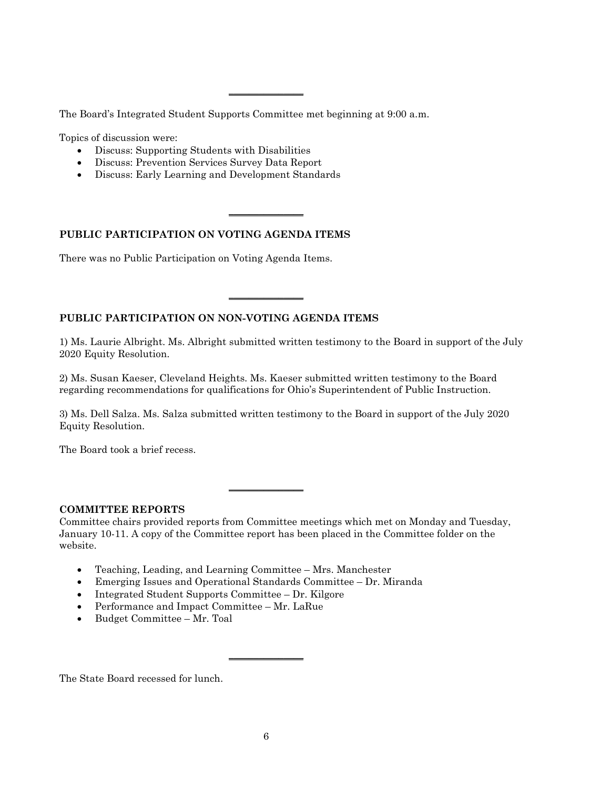The Board's Integrated Student Supports Committee met beginning at 9:00 a.m.

\_\_\_\_\_\_\_\_\_\_\_\_\_\_\_

 $\overline{\phantom{a}}$  , where  $\overline{\phantom{a}}$ 

 $\overline{\phantom{a}}$  , where  $\overline{\phantom{a}}$ 

Topics of discussion were:

- Discuss: Supporting Students with Disabilities
- Discuss: Prevention Services Survey Data Report
- Discuss: Early Learning and Development Standards

## **PUBLIC PARTICIPATION ON VOTING AGENDA ITEMS**

There was no Public Participation on Voting Agenda Items.

# **PUBLIC PARTICIPATION ON NON-VOTING AGENDA ITEMS**

1) Ms. Laurie Albright. Ms. Albright submitted written testimony to the Board in support of the July 2020 Equity Resolution.

2) Ms. Susan Kaeser, Cleveland Heights. Ms. Kaeser submitted written testimony to the Board regarding recommendations for qualifications for Ohio's Superintendent of Public Instruction.

3) Ms. Dell Salza. Ms. Salza submitted written testimony to the Board in support of the July 2020 Equity Resolution.

The Board took a brief recess.

# **COMMITTEE REPORTS**

Committee chairs provided reports from Committee meetings which met on Monday and Tuesday, January 10-11. A copy of the Committee report has been placed in the Committee folder on the website.

 $\overline{\phantom{a}}$  , where  $\overline{\phantom{a}}$ 

- Teaching, Leading, and Learning Committee Mrs. Manchester
- Emerging Issues and Operational Standards Committee Dr. Miranda
- Integrated Student Supports Committee Dr. Kilgore
- Performance and Impact Committee Mr. LaRue
- Budget Committee Mr. Toal

The State Board recessed for lunch.

 $\overline{\phantom{a}}$  , where  $\overline{\phantom{a}}$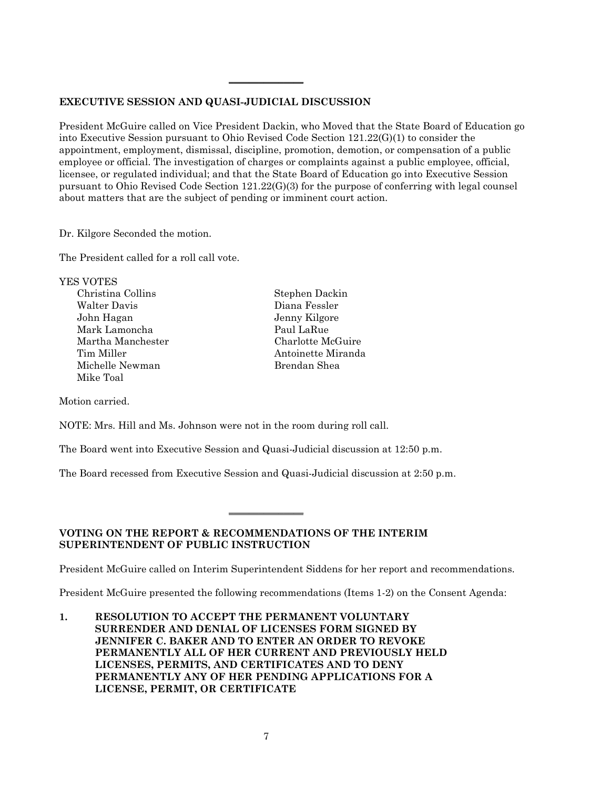# **EXECUTIVE SESSION AND QUASI-JUDICIAL DISCUSSION**

President McGuire called on Vice President Dackin, who Moved that the State Board of Education go into Executive Session pursuant to Ohio Revised Code Section 121.22(G)(1) to consider the appointment, employment, dismissal, discipline, promotion, demotion, or compensation of a public employee or official. The investigation of charges or complaints against a public employee, official, licensee, or regulated individual; and that the State Board of Education go into Executive Session pursuant to Ohio Revised Code Section 121.22(G)(3) for the purpose of conferring with legal counsel about matters that are the subject of pending or imminent court action.

\_\_\_\_\_\_\_\_\_\_\_\_\_\_\_

Dr. Kilgore Seconded the motion.

The President called for a roll call vote.

| <b>YES VOTES</b>  |                    |
|-------------------|--------------------|
| Christina Collins | Stephen Dackin     |
| Walter Davis      | Diana Fessler      |
| John Hagan        | Jenny Kilgore      |
| Mark Lamoncha     | Paul LaRue         |
| Martha Manchester | Charlotte McGuire  |
| Tim Miller        | Antoinette Miranda |
| Michelle Newman   | Brendan Shea       |
| Mike Toal         |                    |
|                   |                    |

Motion carried.

NOTE: Mrs. Hill and Ms. Johnson were not in the room during roll call.

The Board went into Executive Session and Quasi-Judicial discussion at 12:50 p.m.

The Board recessed from Executive Session and Quasi-Judicial discussion at 2:50 p.m.

 $\overline{\phantom{a}}$  , where  $\overline{\phantom{a}}$ 

# **VOTING ON THE REPORT & RECOMMENDATIONS OF THE INTERIM SUPERINTENDENT OF PUBLIC INSTRUCTION**

President McGuire called on Interim Superintendent Siddens for her report and recommendations.

President McGuire presented the following recommendations (Items 1-2) on the Consent Agenda:

**1. RESOLUTION TO ACCEPT THE PERMANENT VOLUNTARY SURRENDER AND DENIAL OF LICENSES FORM SIGNED BY JENNIFER C. BAKER AND TO ENTER AN ORDER TO REVOKE PERMANENTLY ALL OF HER CURRENT AND PREVIOUSLY HELD LICENSES, PERMITS, AND CERTIFICATES AND TO DENY PERMANENTLY ANY OF HER PENDING APPLICATIONS FOR A LICENSE, PERMIT, OR CERTIFICATE**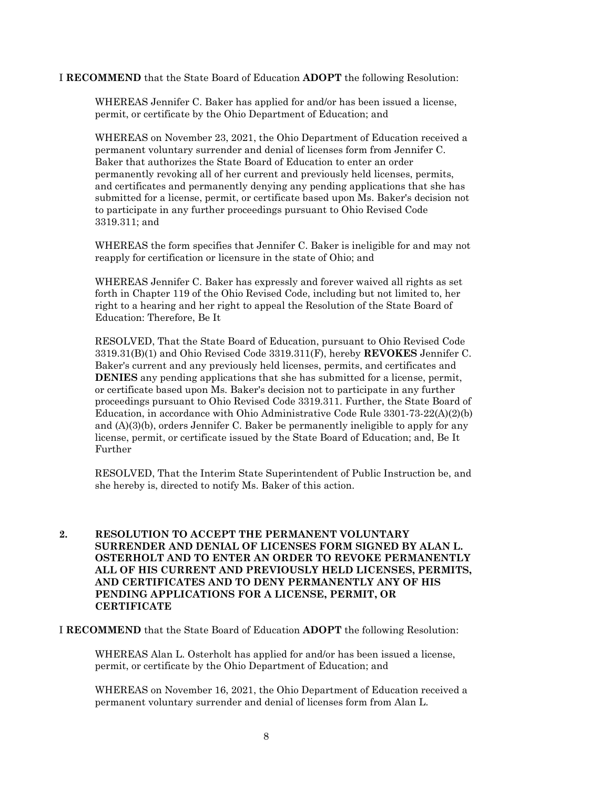### I **RECOMMEND** that the State Board of Education **ADOPT** the following Resolution:

WHEREAS Jennifer C. Baker has applied for and/or has been issued a license, permit, or certificate by the Ohio Department of Education; and

WHEREAS on November 23, 2021, the Ohio Department of Education received a permanent voluntary surrender and denial of licenses form from Jennifer C. Baker that authorizes the State Board of Education to enter an order permanently revoking all of her current and previously held licenses, permits, and certificates and permanently denying any pending applications that she has submitted for a license, permit, or certificate based upon Ms. Baker's decision not to participate in any further proceedings pursuant to Ohio Revised Code 3319.311; and

WHEREAS the form specifies that Jennifer C. Baker is ineligible for and may not reapply for certification or licensure in the state of Ohio; and

WHEREAS Jennifer C. Baker has expressly and forever waived all rights as set forth in Chapter 119 of the Ohio Revised Code, including but not limited to, her right to a hearing and her right to appeal the Resolution of the State Board of Education: Therefore, Be It

RESOLVED, That the State Board of Education, pursuant to Ohio Revised Code 3319.31(B)(1) and Ohio Revised Code 3319.311(F), hereby **REVOKES** Jennifer C. Baker's current and any previously held licenses, permits, and certificates and **DENIES** any pending applications that she has submitted for a license, permit, or certificate based upon Ms. Baker's decision not to participate in any further proceedings pursuant to Ohio Revised Code 3319.311. Further, the State Board of Education, in accordance with Ohio Administrative Code Rule 3301-73-22(A)(2)(b) and  $(A)(3)(b)$ , orders Jennifer C. Baker be permanently ineligible to apply for any license, permit, or certificate issued by the State Board of Education; and, Be It Further

RESOLVED, That the Interim State Superintendent of Public Instruction be, and she hereby is, directed to notify Ms. Baker of this action.

**2. RESOLUTION TO ACCEPT THE PERMANENT VOLUNTARY SURRENDER AND DENIAL OF LICENSES FORM SIGNED BY ALAN L. OSTERHOLT AND TO ENTER AN ORDER TO REVOKE PERMANENTLY ALL OF HIS CURRENT AND PREVIOUSLY HELD LICENSES, PERMITS, AND CERTIFICATES AND TO DENY PERMANENTLY ANY OF HIS PENDING APPLICATIONS FOR A LICENSE, PERMIT, OR CERTIFICATE**

I **RECOMMEND** that the State Board of Education **ADOPT** the following Resolution:

WHEREAS Alan L. Osterholt has applied for and/or has been issued a license, permit, or certificate by the Ohio Department of Education; and

WHEREAS on November 16, 2021, the Ohio Department of Education received a permanent voluntary surrender and denial of licenses form from Alan L.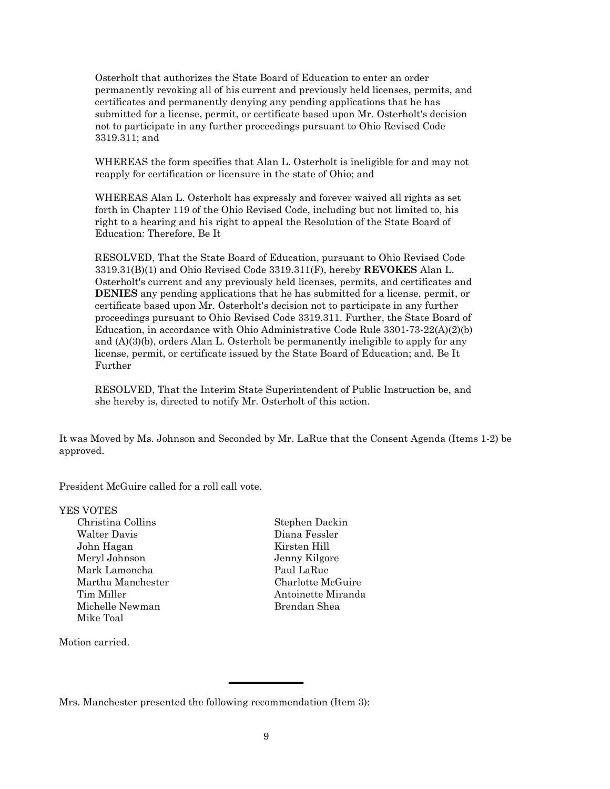Osterholt that authorizes the State Board of Education to enter an order permanently revoking all of his current and previously held licenses, permits, and certificates and permanently denying any pending applications that he has submitted for a license, permit, or certificate based upon Mr. Osterholt's decision not to participate in any further proceedings pursuant to Ohio Revised Code 3319.311; and

WHEREAS the form specifies that Alan L. Osterholt is ineligible for and may not reapply for certification or licensure in the state of Ohio; and

WHEREAS Alan L. Osterholt has expressly and forever waived all rights as set forth in Chapter 119 of the Ohio Revised Code, including but not limited to, his right to a hearing and his right to appeal the Resolution of the State Board of Education: Therefore, Be It

RESOLVED, That the State Board of Education, pursuant to Ohio Revised Code 3319.31(B)(1) and Ohio Revised Code 3319.311(F), hereby **REVOKES** Alan L. Osterholt's current and any previously held licenses, permits, and certificates and **DENIES** any pending applications that he has submitted for a license, permit, or certificate based upon Mr. Osterholt's decision not to participate in any further proceedings pursuant to Ohio Revised Code 3319.311. Further, the State Board of Education, in accordance with Ohio Administrative Code Rule 3301-73-22(A)(2)(b) and  $(A)(3)(b)$ , orders Alan L. Osterholt be permanently ineligible to apply for any license, permit, or certificate issued by the State Board of Education; and, Be It Further

RESOLVED, That the Interim State Superintendent of Public Instruction be, and she hereby is, directed to notify Mr. Osterholt of this action.

It was Moved by Ms. Johnson and Seconded by Mr. LaRue that the Consent Agenda (Items 1-2) be approved.

President McGuire called for a roll call vote.

### YES VOTES

Christina Collins Stephen Dackin Walter Davis Diana Fessler John Hagan Kirsten Hill Meryl Johnson Jenny Kilgore Mark Lamoncha Paul LaRue Martha Manchester Charlotte McGuire Tim Miller **Antoinette Miranda** Michelle Newman Brendan Shea Mike Toal

Motion carried.

\_\_\_\_\_\_\_\_\_\_\_\_\_\_\_

Mrs. Manchester presented the following recommendation (Item 3):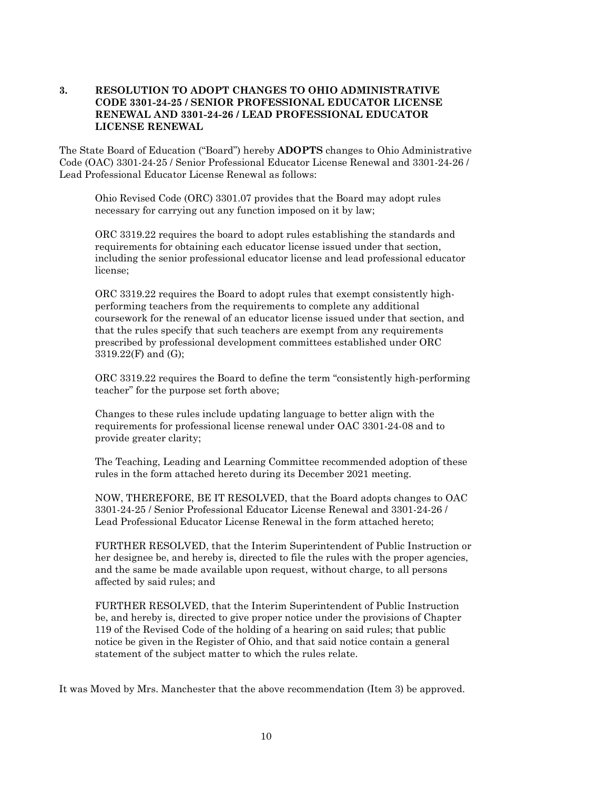## **3. RESOLUTION TO ADOPT CHANGES TO OHIO ADMINISTRATIVE CODE 3301-24-25 / SENIOR PROFESSIONAL EDUCATOR LICENSE RENEWAL AND 3301-24-26 / LEAD PROFESSIONAL EDUCATOR LICENSE RENEWAL**

The State Board of Education ("Board") hereby **ADOPTS** changes to Ohio Administrative Code (OAC) 3301-24-25 / Senior Professional Educator License Renewal and 3301-24-26 / Lead Professional Educator License Renewal as follows:

Ohio Revised Code (ORC) 3301.07 provides that the Board may adopt rules necessary for carrying out any function imposed on it by law;

ORC 3319.22 requires the board to adopt rules establishing the standards and requirements for obtaining each educator license issued under that section, including the senior professional educator license and lead professional educator license;

ORC 3319.22 requires the Board to adopt rules that exempt consistently highperforming teachers from the requirements to complete any additional coursework for the renewal of an educator license issued under that section, and that the rules specify that such teachers are exempt from any requirements prescribed by professional development committees established under ORC 3319.22(F) and (G);

ORC 3319.22 requires the Board to define the term "consistently high-performing teacher" for the purpose set forth above;

Changes to these rules include updating language to better align with the requirements for professional license renewal under OAC 3301-24-08 and to provide greater clarity;

The Teaching, Leading and Learning Committee recommended adoption of these rules in the form attached hereto during its December 2021 meeting.

NOW, THEREFORE, BE IT RESOLVED, that the Board adopts changes to OAC 3301-24-25 / Senior Professional Educator License Renewal and 3301-24-26 / Lead Professional Educator License Renewal in the form attached hereto;

FURTHER RESOLVED, that the Interim Superintendent of Public Instruction or her designee be, and hereby is, directed to file the rules with the proper agencies, and the same be made available upon request, without charge, to all persons affected by said rules; and

FURTHER RESOLVED, that the Interim Superintendent of Public Instruction be, and hereby is, directed to give proper notice under the provisions of Chapter 119 of the Revised Code of the holding of a hearing on said rules; that public notice be given in the Register of Ohio, and that said notice contain a general statement of the subject matter to which the rules relate.

It was Moved by Mrs. Manchester that the above recommendation (Item 3) be approved.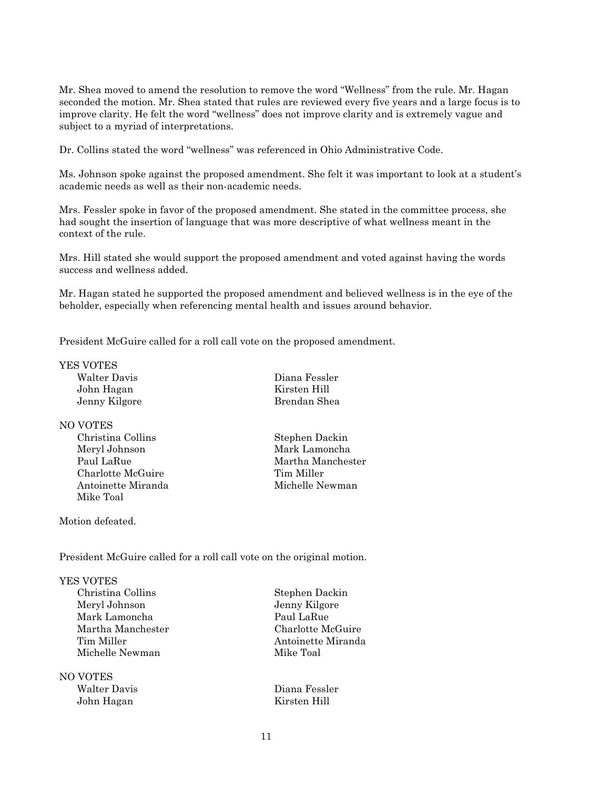Mr. Shea moved to amend the resolution to remove the word "Wellness" from the rule. Mr. Hagan seconded the motion. Mr. Shea stated that rules are reviewed every five years and a large focus is to improve clarity. He felt the word "wellness" does not improve clarity and is extremely vague and subject to a myriad of interpretations.

Dr. Collins stated the word "wellness" was referenced in Ohio Administrative Code.

Ms. Johnson spoke against the proposed amendment. She felt it was important to look at a student's academic needs as well as their non-academic needs.

Mrs. Fessler spoke in favor of the proposed amendment. She stated in the committee process, she had sought the insertion of language that was more descriptive of what wellness meant in the context of the rule.

Mrs. Hill stated she would support the proposed amendment and voted against having the words success and wellness added.

Mr. Hagan stated he supported the proposed amendment and believed wellness is in the eye of the beholder, especially when referencing mental health and issues around behavior.

President McGuire called for a roll call vote on the proposed amendment.

### YES VOTES

Walter Davis Diana Fessler John Hagan Kirsten Hill Jenny Kilgore Brendan Shea

### NO VOTES

Meryl Johnson Mark Lamoncha Charlotte McGuire Tim Miller Antoinette Miranda Michelle Newman Mike Toal

Christina Collins Stephen Dackin Paul LaRue Martha Manchester

Motion defeated.

President McGuire called for a roll call vote on the original motion.

### YES VOTES

Christina Collins Stephen Dackin Meryl Johnson Jenny Kilgore Mark Lamoncha **Paul LaRue** Martha Manchester Charlotte McGuire Michelle Newman Mike Toal

# NO VOTES Walter Davis Diana Fessler

Antoinette Miranda

John Hagan Kirsten Hill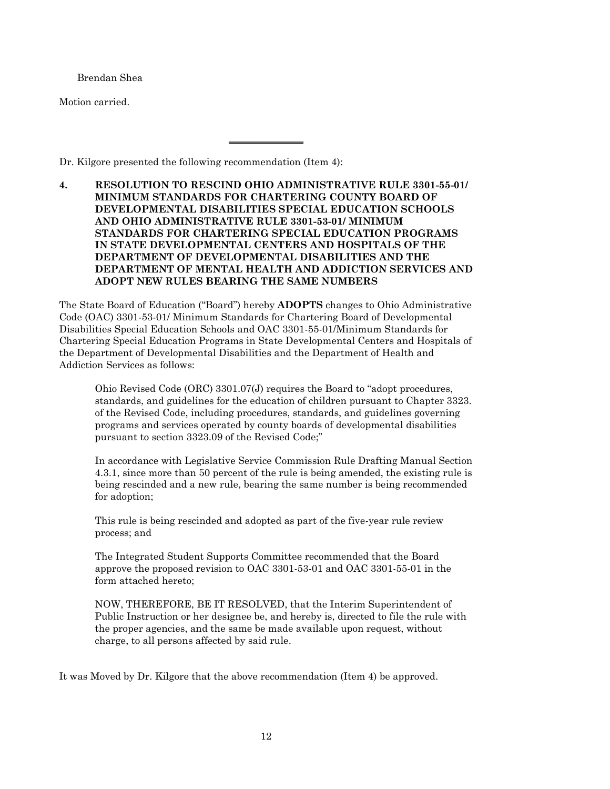Brendan Shea

Motion carried.

Dr. Kilgore presented the following recommendation (Item 4):

**4. RESOLUTION TO RESCIND OHIO ADMINISTRATIVE RULE 3301-55-01/ MINIMUM STANDARDS FOR CHARTERING COUNTY BOARD OF DEVELOPMENTAL DISABILITIES SPECIAL EDUCATION SCHOOLS AND OHIO ADMINISTRATIVE RULE 3301-53-01/ MINIMUM STANDARDS FOR CHARTERING SPECIAL EDUCATION PROGRAMS IN STATE DEVELOPMENTAL CENTERS AND HOSPITALS OF THE DEPARTMENT OF DEVELOPMENTAL DISABILITIES AND THE DEPARTMENT OF MENTAL HEALTH AND ADDICTION SERVICES AND ADOPT NEW RULES BEARING THE SAME NUMBERS**

 $\overline{\phantom{a}}$  , where  $\overline{\phantom{a}}$  , where  $\overline{\phantom{a}}$ 

The State Board of Education ("Board") hereby **ADOPTS** changes to Ohio Administrative Code (OAC) 3301-53-01/ Minimum Standards for Chartering Board of Developmental Disabilities Special Education Schools and OAC 3301-55-01/Minimum Standards for Chartering Special Education Programs in State Developmental Centers and Hospitals of the Department of Developmental Disabilities and the Department of Health and Addiction Services as follows:

Ohio Revised Code (ORC) 3301.07(J) requires the Board to "adopt procedures, standards, and guidelines for the education of children pursuant to Chapter 3323. of the Revised Code, including procedures, standards, and guidelines governing programs and services operated by county boards of developmental disabilities pursuant to section 3323.09 of the Revised Code;"

In accordance with Legislative Service Commission Rule Drafting Manual Section 4.3.1, since more than 50 percent of the rule is being amended, the existing rule is being rescinded and a new rule, bearing the same number is being recommended for adoption;

This rule is being rescinded and adopted as part of the five-year rule review process; and

The Integrated Student Supports Committee recommended that the Board approve the proposed revision to OAC 3301-53-01 and OAC 3301-55-01 in the form attached hereto;

NOW, THEREFORE, BE IT RESOLVED, that the Interim Superintendent of Public Instruction or her designee be, and hereby is, directed to file the rule with the proper agencies, and the same be made available upon request, without charge, to all persons affected by said rule.

It was Moved by Dr. Kilgore that the above recommendation (Item 4) be approved.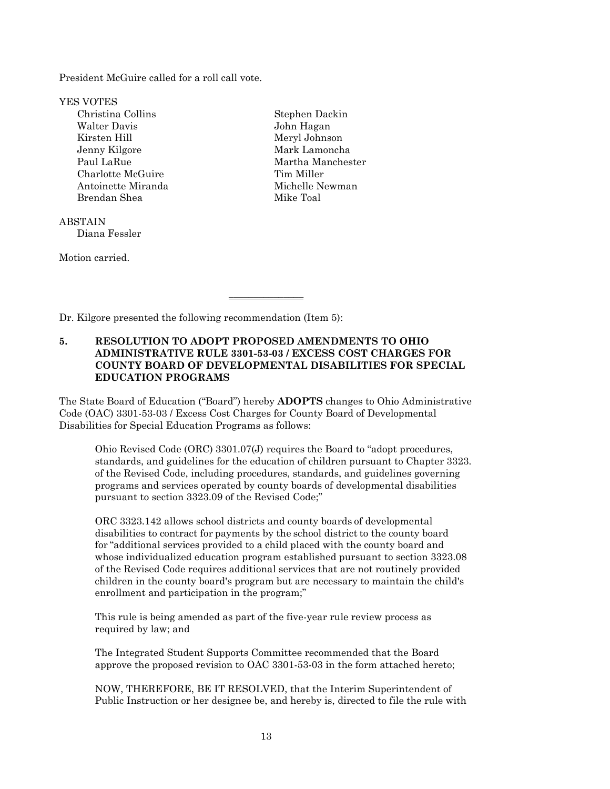President McGuire called for a roll call vote.

YES VOTES Christina Collins Stephen Dackin Walter Davis John Hagan Kirsten Hill Meryl Johnson Jenny Kilgore Mark Lamoncha Paul LaRue Martha Manchester Charlotte McGuire Tim Miller Antoinette Miranda Michelle Newman Brendan Shea Mike Toal

**ABSTAIN** Diana Fessler

Motion carried.

Dr. Kilgore presented the following recommendation (Item 5):

# **5. RESOLUTION TO ADOPT PROPOSED AMENDMENTS TO OHIO ADMINISTRATIVE RULE 3301-53-03 / EXCESS COST CHARGES FOR COUNTY BOARD OF DEVELOPMENTAL DISABILITIES FOR SPECIAL EDUCATION PROGRAMS**

\_\_\_\_\_\_\_\_\_\_\_\_\_\_\_

The State Board of Education ("Board") hereby **ADOPTS** changes to Ohio Administrative Code (OAC) 3301-53-03 / Excess Cost Charges for County Board of Developmental Disabilities for Special Education Programs as follows:

Ohio Revised Code (ORC) 3301.07(J) requires the Board to "adopt procedures, standards, and guidelines for the education of children pursuant to Chapter 3323. of the Revised Code, including procedures, standards, and guidelines governing programs and services operated by county boards of developmental disabilities pursuant to section 3323.09 of the Revised Code;"

ORC 3323.142 allows school districts and county boards of developmental disabilities to contract for payments by the school district to the county board for "additional services provided to a child placed with the county board and whose individualized education program established pursuant to section 3323.08 of the Revised Code requires additional services that are not routinely provided children in the county board's program but are necessary to maintain the child's enrollment and participation in the program;"

This rule is being amended as part of the five-year rule review process as required by law; and

The Integrated Student Supports Committee recommended that the Board approve the proposed revision to OAC 3301-53-03 in the form attached hereto;

NOW, THEREFORE, BE IT RESOLVED, that the Interim Superintendent of Public Instruction or her designee be, and hereby is, directed to file the rule with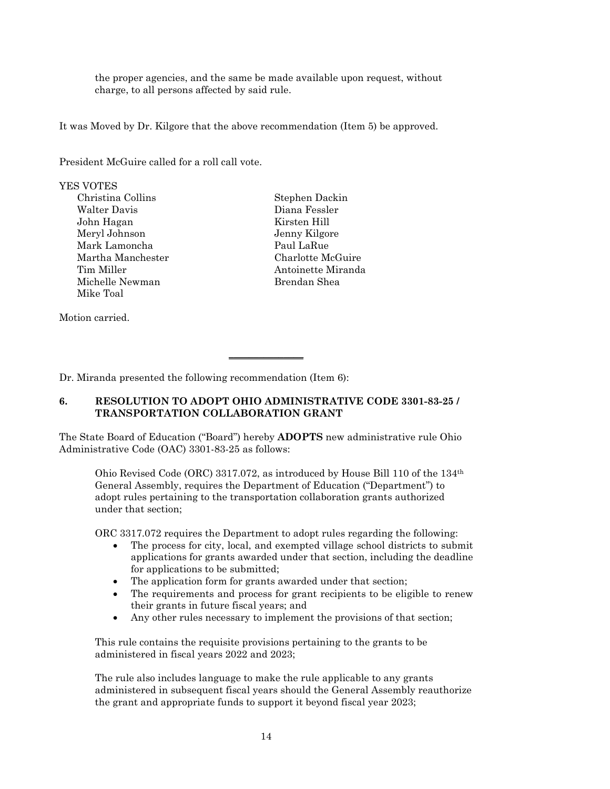the proper agencies, and the same be made available upon request, without charge, to all persons affected by said rule.

It was Moved by Dr. Kilgore that the above recommendation (Item 5) be approved.

President McGuire called for a roll call vote.

## YES VOTES

Christina Collins Stephen Dackin Walter Davis Diana Fessler John Hagan Kirsten Hill Meryl Johnson Jenny Kilgore Mark Lamoncha **Paul LaRue** Martha Manchester Charlotte McGuire Tim Miller **Antoinette Miranda** Michelle Newman Brendan Shea Mike Toal

Motion carried.

Dr. Miranda presented the following recommendation (Item 6):

# **6. RESOLUTION TO ADOPT OHIO ADMINISTRATIVE CODE 3301-83-25 / TRANSPORTATION COLLABORATION GRANT**

 $\overline{\phantom{a}}$  , where  $\overline{\phantom{a}}$  , where  $\overline{\phantom{a}}$ 

The State Board of Education ("Board") hereby **ADOPTS** new administrative rule Ohio Administrative Code (OAC) 3301-83-25 as follows:

Ohio Revised Code (ORC) 3317.072, as introduced by House Bill 110 of the 134th General Assembly, requires the Department of Education ("Department") to adopt rules pertaining to the transportation collaboration grants authorized under that section;

ORC 3317.072 requires the Department to adopt rules regarding the following:

- The process for city, local, and exempted village school districts to submit applications for grants awarded under that section, including the deadline for applications to be submitted;
- The application form for grants awarded under that section;
- The requirements and process for grant recipients to be eligible to renew their grants in future fiscal years; and
- Any other rules necessary to implement the provisions of that section;

This rule contains the requisite provisions pertaining to the grants to be administered in fiscal years 2022 and 2023;

The rule also includes language to make the rule applicable to any grants administered in subsequent fiscal years should the General Assembly reauthorize the grant and appropriate funds to support it beyond fiscal year 2023;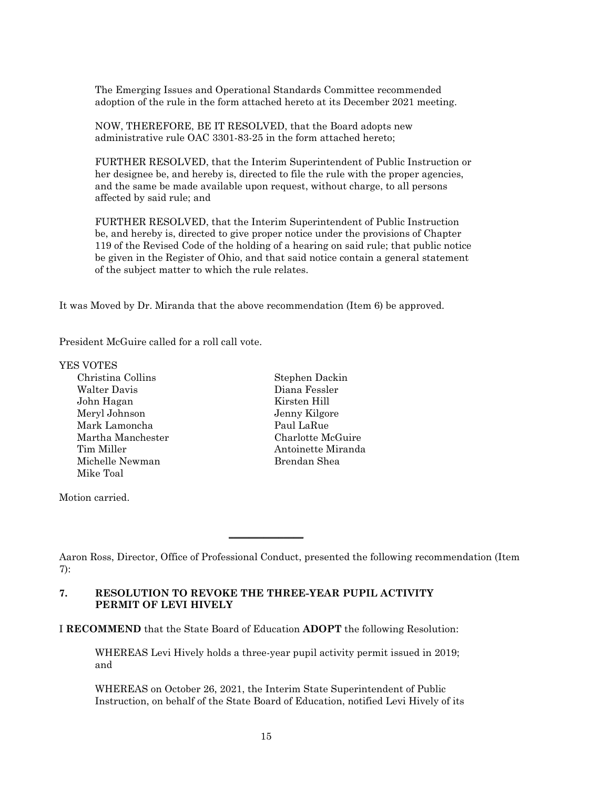The Emerging Issues and Operational Standards Committee recommended adoption of the rule in the form attached hereto at its December 2021 meeting.

NOW, THEREFORE, BE IT RESOLVED, that the Board adopts new administrative rule OAC 3301-83-25 in the form attached hereto;

FURTHER RESOLVED, that the Interim Superintendent of Public Instruction or her designee be, and hereby is, directed to file the rule with the proper agencies, and the same be made available upon request, without charge, to all persons affected by said rule; and

FURTHER RESOLVED, that the Interim Superintendent of Public Instruction be, and hereby is, directed to give proper notice under the provisions of Chapter 119 of the Revised Code of the holding of a hearing on said rule; that public notice be given in the Register of Ohio, and that said notice contain a general statement of the subject matter to which the rule relates.

It was Moved by Dr. Miranda that the above recommendation (Item 6) be approved.

President McGuire called for a roll call vote.

YES VOTES

Christina Collins Stephen Dackin Walter Davis Diana Fessler John Hagan Kirsten Hill Meryl Johnson Jenny Kilgore Mark Lamoncha **Paul LaRue** Martha Manchester Charlotte McGuire Tim Miller **Antoinette Miranda** Michelle Newman Brendan Shea Mike Toal

Motion carried.

## **7. RESOLUTION TO REVOKE THE THREE-YEAR PUPIL ACTIVITY PERMIT OF LEVI HIVELY**

I **RECOMMEND** that the State Board of Education **ADOPT** the following Resolution:

 $\overline{\phantom{a}}$  , where  $\overline{\phantom{a}}$ 

WHEREAS Levi Hively holds a three-year pupil activity permit issued in 2019; and

WHEREAS on October 26, 2021, the Interim State Superintendent of Public Instruction, on behalf of the State Board of Education, notified Levi Hively of its

Aaron Ross, Director, Office of Professional Conduct, presented the following recommendation (Item 7):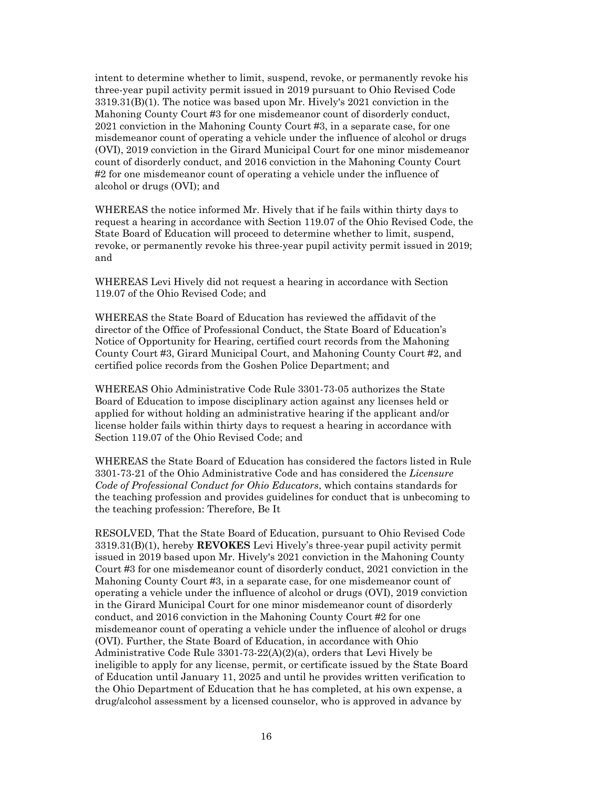intent to determine whether to limit, suspend, revoke, or permanently revoke his three-year pupil activity permit issued in 2019 pursuant to Ohio Revised Code 3319.31(B)(1). The notice was based upon Mr. Hively's 2021 conviction in the Mahoning County Court #3 for one misdemeanor count of disorderly conduct, 2021 conviction in the Mahoning County Court #3, in a separate case, for one misdemeanor count of operating a vehicle under the influence of alcohol or drugs (OVI), 2019 conviction in the Girard Municipal Court for one minor misdemeanor count of disorderly conduct, and 2016 conviction in the Mahoning County Court #2 for one misdemeanor count of operating a vehicle under the influence of alcohol or drugs (OVI); and

WHEREAS the notice informed Mr. Hively that if he fails within thirty days to request a hearing in accordance with Section 119.07 of the Ohio Revised Code, the State Board of Education will proceed to determine whether to limit, suspend, revoke, or permanently revoke his three-year pupil activity permit issued in 2019; and

WHEREAS Levi Hively did not request a hearing in accordance with Section 119.07 of the Ohio Revised Code; and

WHEREAS the State Board of Education has reviewed the affidavit of the director of the Office of Professional Conduct, the State Board of Education's Notice of Opportunity for Hearing, certified court records from the Mahoning County Court #3, Girard Municipal Court, and Mahoning County Court #2, and certified police records from the Goshen Police Department; and

WHEREAS Ohio Administrative Code Rule 3301-73-05 authorizes the State Board of Education to impose disciplinary action against any licenses held or applied for without holding an administrative hearing if the applicant and/or license holder fails within thirty days to request a hearing in accordance with Section 119.07 of the Ohio Revised Code; and

WHEREAS the State Board of Education has considered the factors listed in Rule 3301-73-21 of the Ohio Administrative Code and has considered the *Licensure Code of Professional Conduct for Ohio Educators*, which contains standards for the teaching profession and provides guidelines for conduct that is unbecoming to the teaching profession: Therefore, Be It

RESOLVED, That the State Board of Education, pursuant to Ohio Revised Code 3319.31(B)(1), hereby **REVOKES** Levi Hively's three-year pupil activity permit issued in 2019 based upon Mr. Hively's 2021 conviction in the Mahoning County Court #3 for one misdemeanor count of disorderly conduct, 2021 conviction in the Mahoning County Court #3, in a separate case, for one misdemeanor count of operating a vehicle under the influence of alcohol or drugs (OVI), 2019 conviction in the Girard Municipal Court for one minor misdemeanor count of disorderly conduct, and 2016 conviction in the Mahoning County Court #2 for one misdemeanor count of operating a vehicle under the influence of alcohol or drugs (OVI). Further, the State Board of Education, in accordance with Ohio Administrative Code Rule 3301-73-22(A)(2)(a), orders that Levi Hively be ineligible to apply for any license, permit, or certificate issued by the State Board of Education until January 11, 2025 and until he provides written verification to the Ohio Department of Education that he has completed, at his own expense, a drug/alcohol assessment by a licensed counselor, who is approved in advance by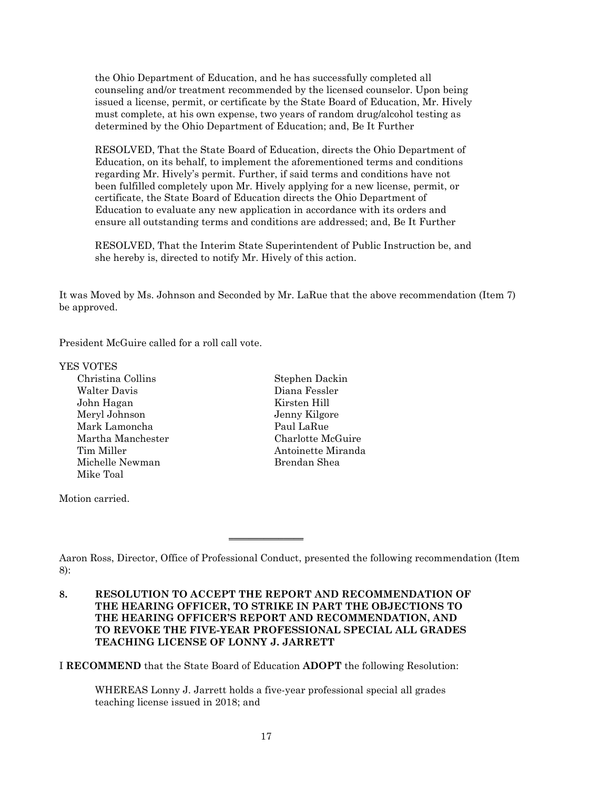the Ohio Department of Education, and he has successfully completed all counseling and/or treatment recommended by the licensed counselor. Upon being issued a license, permit, or certificate by the State Board of Education, Mr. Hively must complete, at his own expense, two years of random drug/alcohol testing as determined by the Ohio Department of Education; and, Be It Further

RESOLVED, That the State Board of Education, directs the Ohio Department of Education, on its behalf, to implement the aforementioned terms and conditions regarding Mr. Hively's permit. Further, if said terms and conditions have not been fulfilled completely upon Mr. Hively applying for a new license, permit, or certificate, the State Board of Education directs the Ohio Department of Education to evaluate any new application in accordance with its orders and ensure all outstanding terms and conditions are addressed; and, Be It Further

RESOLVED, That the Interim State Superintendent of Public Instruction be, and she hereby is, directed to notify Mr. Hively of this action.

It was Moved by Ms. Johnson and Seconded by Mr. LaRue that the above recommendation (Item 7) be approved.

President McGuire called for a roll call vote.

### YES VOTES

Christina Collins Stephen Dackin Walter Davis Diana Fessler John Hagan Kirsten Hill Meryl Johnson Jenny Kilgore Mark Lamoncha Paul LaRue Martha Manchester Charlotte McGuire Tim Miller **Antoinette Miranda** Michelle Newman Brendan Shea Mike Toal

Motion carried.

 $\overline{\phantom{a}}$  , where  $\overline{\phantom{a}}$ 

I **RECOMMEND** that the State Board of Education **ADOPT** the following Resolution:

WHEREAS Lonny J. Jarrett holds a five-year professional special all grades teaching license issued in 2018; and

Aaron Ross, Director, Office of Professional Conduct, presented the following recommendation (Item 8):

**<sup>8.</sup> RESOLUTION TO ACCEPT THE REPORT AND RECOMMENDATION OF THE HEARING OFFICER, TO STRIKE IN PART THE OBJECTIONS TO THE HEARING OFFICER'S REPORT AND RECOMMENDATION, AND TO REVOKE THE FIVE-YEAR PROFESSIONAL SPECIAL ALL GRADES TEACHING LICENSE OF LONNY J. JARRETT**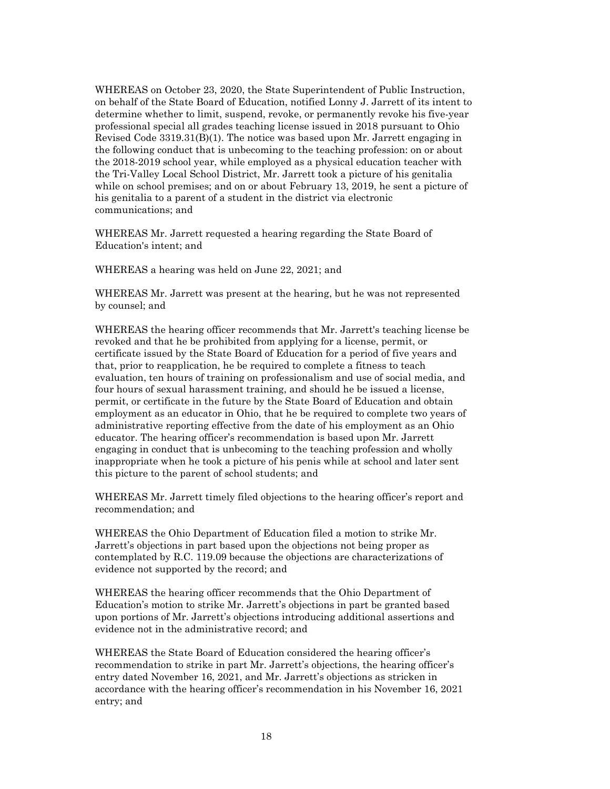WHEREAS on October 23, 2020, the State Superintendent of Public Instruction, on behalf of the State Board of Education, notified Lonny J. Jarrett of its intent to determine whether to limit, suspend, revoke, or permanently revoke his five-year professional special all grades teaching license issued in 2018 pursuant to Ohio Revised Code 3319.31(B)(1). The notice was based upon Mr. Jarrett engaging in the following conduct that is unbecoming to the teaching profession: on or about the 2018-2019 school year, while employed as a physical education teacher with the Tri-Valley Local School District, Mr. Jarrett took a picture of his genitalia while on school premises; and on or about February 13, 2019, he sent a picture of his genitalia to a parent of a student in the district via electronic communications; and

WHEREAS Mr. Jarrett requested a hearing regarding the State Board of Education's intent; and

WHEREAS a hearing was held on June 22, 2021; and

WHEREAS Mr. Jarrett was present at the hearing, but he was not represented by counsel; and

WHEREAS the hearing officer recommends that Mr. Jarrett's teaching license be revoked and that he be prohibited from applying for a license, permit, or certificate issued by the State Board of Education for a period of five years and that, prior to reapplication, he be required to complete a fitness to teach evaluation, ten hours of training on professionalism and use of social media, and four hours of sexual harassment training, and should he be issued a license, permit, or certificate in the future by the State Board of Education and obtain employment as an educator in Ohio, that he be required to complete two years of administrative reporting effective from the date of his employment as an Ohio educator. The hearing officer's recommendation is based upon Mr. Jarrett engaging in conduct that is unbecoming to the teaching profession and wholly inappropriate when he took a picture of his penis while at school and later sent this picture to the parent of school students; and

WHEREAS Mr. Jarrett timely filed objections to the hearing officer's report and recommendation; and

WHEREAS the Ohio Department of Education filed a motion to strike Mr. Jarrett's objections in part based upon the objections not being proper as contemplated by R.C. 119.09 because the objections are characterizations of evidence not supported by the record; and

WHEREAS the hearing officer recommends that the Ohio Department of Education's motion to strike Mr. Jarrett's objections in part be granted based upon portions of Mr. Jarrett's objections introducing additional assertions and evidence not in the administrative record; and

WHEREAS the State Board of Education considered the hearing officer's recommendation to strike in part Mr. Jarrett's objections, the hearing officer's entry dated November 16, 2021, and Mr. Jarrett's objections as stricken in accordance with the hearing officer's recommendation in his November 16, 2021 entry; and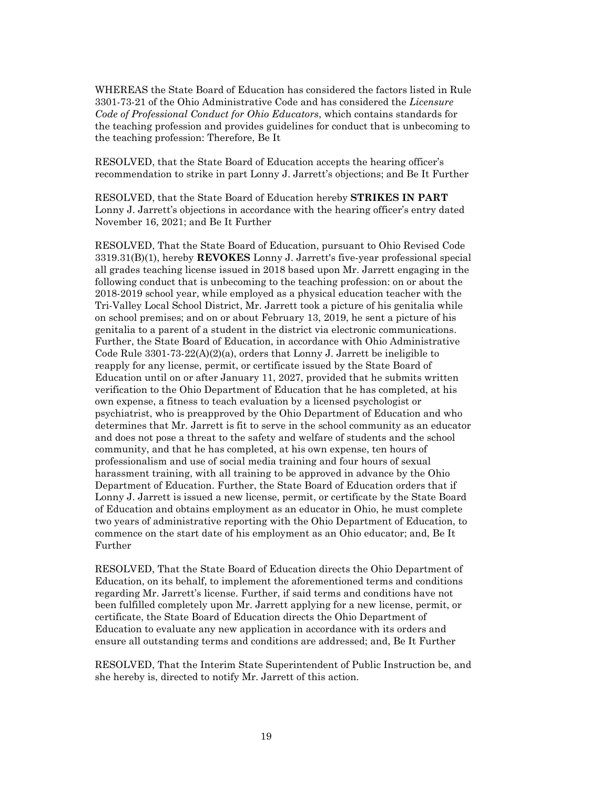WHEREAS the State Board of Education has considered the factors listed in Rule 3301-73-21 of the Ohio Administrative Code and has considered the *Licensure Code of Professional Conduct for Ohio Educators*, which contains standards for the teaching profession and provides guidelines for conduct that is unbecoming to the teaching profession: Therefore, Be It

RESOLVED, that the State Board of Education accepts the hearing officer's recommendation to strike in part Lonny J. Jarrett's objections; and Be It Further

RESOLVED, that the State Board of Education hereby **STRIKES IN PART** Lonny J. Jarrett's objections in accordance with the hearing officer's entry dated November 16, 2021; and Be It Further

RESOLVED, That the State Board of Education, pursuant to Ohio Revised Code 3319.31(B)(1), hereby **REVOKES** Lonny J. Jarrett's five-year professional special all grades teaching license issued in 2018 based upon Mr. Jarrett engaging in the following conduct that is unbecoming to the teaching profession: on or about the 2018-2019 school year, while employed as a physical education teacher with the Tri-Valley Local School District, Mr. Jarrett took a picture of his genitalia while on school premises; and on or about February 13, 2019, he sent a picture of his genitalia to a parent of a student in the district via electronic communications. Further, the State Board of Education, in accordance with Ohio Administrative Code Rule  $3301-73-22(A)(2)(a)$ , orders that Lonny J. Jarrett be ineligible to reapply for any license, permit, or certificate issued by the State Board of Education until on or after January 11, 2027, provided that he submits written verification to the Ohio Department of Education that he has completed, at his own expense, a fitness to teach evaluation by a licensed psychologist or psychiatrist, who is preapproved by the Ohio Department of Education and who determines that Mr. Jarrett is fit to serve in the school community as an educator and does not pose a threat to the safety and welfare of students and the school community, and that he has completed, at his own expense, ten hours of professionalism and use of social media training and four hours of sexual harassment training, with all training to be approved in advance by the Ohio Department of Education. Further, the State Board of Education orders that if Lonny J. Jarrett is issued a new license, permit, or certificate by the State Board of Education and obtains employment as an educator in Ohio, he must complete two years of administrative reporting with the Ohio Department of Education, to commence on the start date of his employment as an Ohio educator; and, Be It Further

RESOLVED, That the State Board of Education directs the Ohio Department of Education, on its behalf, to implement the aforementioned terms and conditions regarding Mr. Jarrett's license. Further, if said terms and conditions have not been fulfilled completely upon Mr. Jarrett applying for a new license, permit, or certificate, the State Board of Education directs the Ohio Department of Education to evaluate any new application in accordance with its orders and ensure all outstanding terms and conditions are addressed; and, Be It Further

RESOLVED, That the Interim State Superintendent of Public Instruction be, and she hereby is, directed to notify Mr. Jarrett of this action.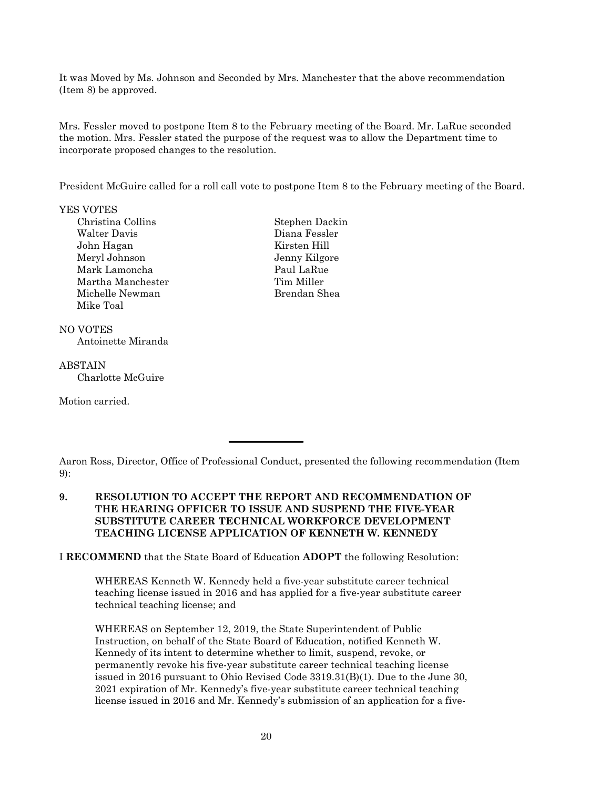It was Moved by Ms. Johnson and Seconded by Mrs. Manchester that the above recommendation (Item 8) be approved.

Mrs. Fessler moved to postpone Item 8 to the February meeting of the Board. Mr. LaRue seconded the motion. Mrs. Fessler stated the purpose of the request was to allow the Department time to incorporate proposed changes to the resolution.

President McGuire called for a roll call vote to postpone Item 8 to the February meeting of the Board.

### YES VOTES

- Christina Collins Stephen Dackin Walter Davis Diana Fessler John Hagan Kirsten Hill Meryl Johnson Jenny Kilgore Mark Lamoncha Paul LaRue Martha Manchester Tim Miller Michelle Newman Brendan Shea Mike Toal
- NO VOTES Antoinette Miranda
- ABSTAIN Charlotte McGuire

Motion carried.

# **9. RESOLUTION TO ACCEPT THE REPORT AND RECOMMENDATION OF THE HEARING OFFICER TO ISSUE AND SUSPEND THE FIVE-YEAR SUBSTITUTE CAREER TECHNICAL WORKFORCE DEVELOPMENT TEACHING LICENSE APPLICATION OF KENNETH W. KENNEDY**

 $\overline{\phantom{a}}$  , where  $\overline{\phantom{a}}$ 

I **RECOMMEND** that the State Board of Education **ADOPT** the following Resolution:

WHEREAS Kenneth W. Kennedy held a five-year substitute career technical teaching license issued in 2016 and has applied for a five-year substitute career technical teaching license; and

WHEREAS on September 12, 2019, the State Superintendent of Public Instruction, on behalf of the State Board of Education, notified Kenneth W. Kennedy of its intent to determine whether to limit, suspend, revoke, or permanently revoke his five-year substitute career technical teaching license issued in 2016 pursuant to Ohio Revised Code 3319.31(B)(1). Due to the June 30, 2021 expiration of Mr. Kennedy's five-year substitute career technical teaching license issued in 2016 and Mr. Kennedy's submission of an application for a five-

Aaron Ross, Director, Office of Professional Conduct, presented the following recommendation (Item 9):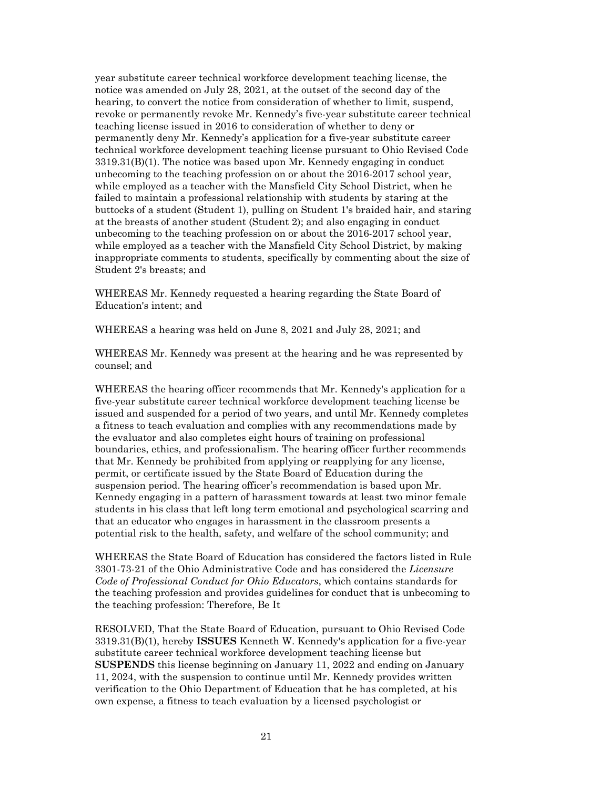year substitute career technical workforce development teaching license, the notice was amended on July 28, 2021, at the outset of the second day of the hearing, to convert the notice from consideration of whether to limit, suspend, revoke or permanently revoke Mr. Kennedy's five-year substitute career technical teaching license issued in 2016 to consideration of whether to deny or permanently deny Mr. Kennedy's application for a five-year substitute career technical workforce development teaching license pursuant to Ohio Revised Code 3319.31(B)(1). The notice was based upon Mr. Kennedy engaging in conduct unbecoming to the teaching profession on or about the 2016-2017 school year, while employed as a teacher with the Mansfield City School District, when he failed to maintain a professional relationship with students by staring at the buttocks of a student (Student 1), pulling on Student 1's braided hair, and staring at the breasts of another student (Student 2); and also engaging in conduct unbecoming to the teaching profession on or about the 2016-2017 school year, while employed as a teacher with the Mansfield City School District, by making inappropriate comments to students, specifically by commenting about the size of Student 2's breasts; and

WHEREAS Mr. Kennedy requested a hearing regarding the State Board of Education's intent; and

WHEREAS a hearing was held on June 8, 2021 and July 28, 2021; and

WHEREAS Mr. Kennedy was present at the hearing and he was represented by counsel; and

WHEREAS the hearing officer recommends that Mr. Kennedy's application for a five-year substitute career technical workforce development teaching license be issued and suspended for a period of two years, and until Mr. Kennedy completes a fitness to teach evaluation and complies with any recommendations made by the evaluator and also completes eight hours of training on professional boundaries, ethics, and professionalism. The hearing officer further recommends that Mr. Kennedy be prohibited from applying or reapplying for any license, permit, or certificate issued by the State Board of Education during the suspension period. The hearing officer's recommendation is based upon Mr. Kennedy engaging in a pattern of harassment towards at least two minor female students in his class that left long term emotional and psychological scarring and that an educator who engages in harassment in the classroom presents a potential risk to the health, safety, and welfare of the school community; and

WHEREAS the State Board of Education has considered the factors listed in Rule 3301-73-21 of the Ohio Administrative Code and has considered the *Licensure Code of Professional Conduct for Ohio Educators*, which contains standards for the teaching profession and provides guidelines for conduct that is unbecoming to the teaching profession: Therefore, Be It

RESOLVED, That the State Board of Education, pursuant to Ohio Revised Code 3319.31(B)(1), hereby **ISSUES** Kenneth W. Kennedy's application for a five-year substitute career technical workforce development teaching license but **SUSPENDS** this license beginning on January 11, 2022 and ending on January 11, 2024, with the suspension to continue until Mr. Kennedy provides written verification to the Ohio Department of Education that he has completed, at his own expense, a fitness to teach evaluation by a licensed psychologist or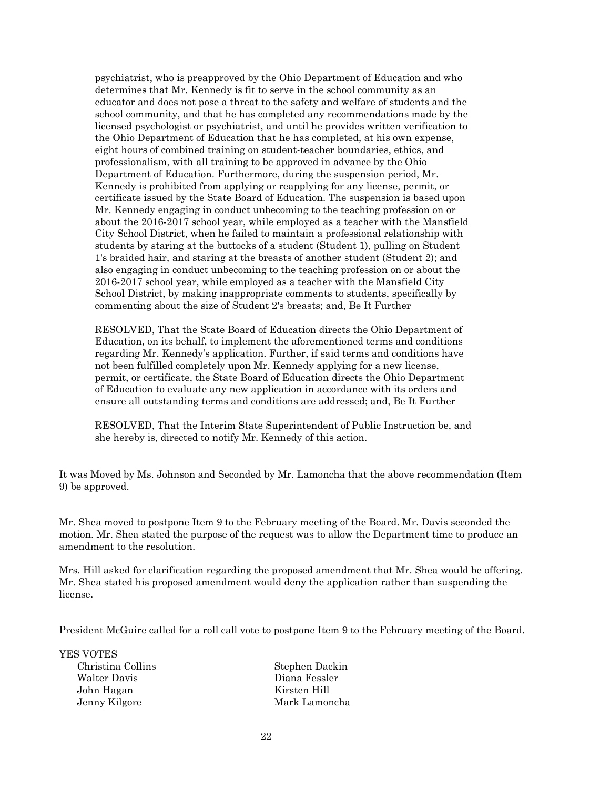psychiatrist, who is preapproved by the Ohio Department of Education and who determines that Mr. Kennedy is fit to serve in the school community as an educator and does not pose a threat to the safety and welfare of students and the school community, and that he has completed any recommendations made by the licensed psychologist or psychiatrist, and until he provides written verification to the Ohio Department of Education that he has completed, at his own expense, eight hours of combined training on student-teacher boundaries, ethics, and professionalism, with all training to be approved in advance by the Ohio Department of Education. Furthermore, during the suspension period, Mr. Kennedy is prohibited from applying or reapplying for any license, permit, or certificate issued by the State Board of Education. The suspension is based upon Mr. Kennedy engaging in conduct unbecoming to the teaching profession on or about the 2016-2017 school year, while employed as a teacher with the Mansfield City School District, when he failed to maintain a professional relationship with students by staring at the buttocks of a student (Student 1), pulling on Student 1's braided hair, and staring at the breasts of another student (Student 2); and also engaging in conduct unbecoming to the teaching profession on or about the 2016-2017 school year, while employed as a teacher with the Mansfield City School District, by making inappropriate comments to students, specifically by commenting about the size of Student 2's breasts; and, Be It Further

RESOLVED, That the State Board of Education directs the Ohio Department of Education, on its behalf, to implement the aforementioned terms and conditions regarding Mr. Kennedy's application. Further, if said terms and conditions have not been fulfilled completely upon Mr. Kennedy applying for a new license, permit, or certificate, the State Board of Education directs the Ohio Department of Education to evaluate any new application in accordance with its orders and ensure all outstanding terms and conditions are addressed; and, Be It Further

RESOLVED, That the Interim State Superintendent of Public Instruction be, and she hereby is, directed to notify Mr. Kennedy of this action.

It was Moved by Ms. Johnson and Seconded by Mr. Lamoncha that the above recommendation (Item 9) be approved.

Mr. Shea moved to postpone Item 9 to the February meeting of the Board. Mr. Davis seconded the motion. Mr. Shea stated the purpose of the request was to allow the Department time to produce an amendment to the resolution.

Mrs. Hill asked for clarification regarding the proposed amendment that Mr. Shea would be offering. Mr. Shea stated his proposed amendment would deny the application rather than suspending the license.

President McGuire called for a roll call vote to postpone Item 9 to the February meeting of the Board.

YES VOTES

Walter Davis Diana Fessler John Hagan Kirsten Hill

Christina Collins Stephen Dackin Jenny Kilgore Mark Lamoncha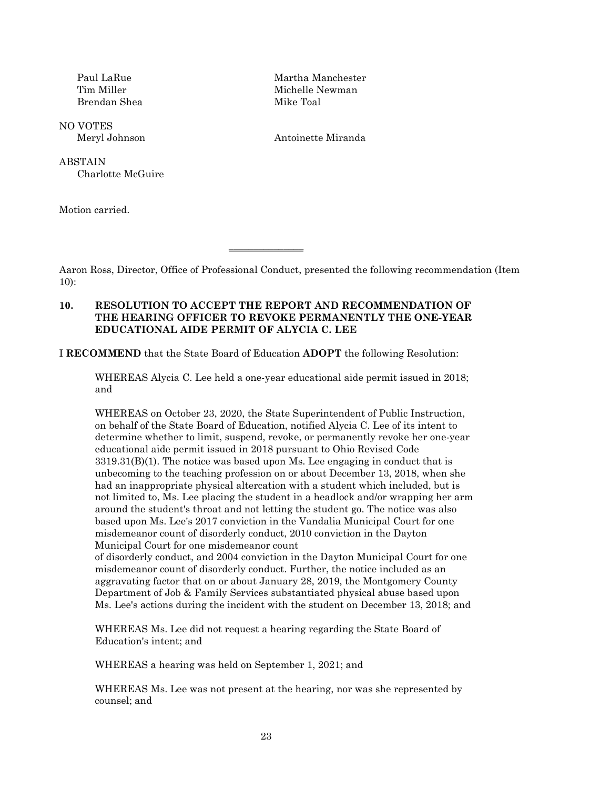Brendan Shea Mike Toal

NO VOTES

**ABSTAIN** Charlotte McGuire

Motion carried.

Paul LaRue Martha Manchester Tim Miller Michelle Newman

Meryl Johnson Antoinette Miranda

Aaron Ross, Director, Office of Professional Conduct, presented the following recommendation (Item 10):

## **10. RESOLUTION TO ACCEPT THE REPORT AND RECOMMENDATION OF THE HEARING OFFICER TO REVOKE PERMANENTLY THE ONE-YEAR EDUCATIONAL AIDE PERMIT OF ALYCIA C. LEE**

 $\overline{\phantom{a}}$  , where  $\overline{\phantom{a}}$ 

I **RECOMMEND** that the State Board of Education **ADOPT** the following Resolution:

WHEREAS Alycia C. Lee held a one-year educational aide permit issued in 2018; and

WHEREAS on October 23, 2020, the State Superintendent of Public Instruction, on behalf of the State Board of Education, notified Alycia C. Lee of its intent to determine whether to limit, suspend, revoke, or permanently revoke her one-year educational aide permit issued in 2018 pursuant to Ohio Revised Code  $3319.31(B)(1)$ . The notice was based upon Ms. Lee engaging in conduct that is unbecoming to the teaching profession on or about December 13, 2018, when she had an inappropriate physical altercation with a student which included, but is not limited to, Ms. Lee placing the student in a headlock and/or wrapping her arm around the student's throat and not letting the student go. The notice was also based upon Ms. Lee's 2017 conviction in the Vandalia Municipal Court for one misdemeanor count of disorderly conduct, 2010 conviction in the Dayton Municipal Court for one misdemeanor count

of disorderly conduct, and 2004 conviction in the Dayton Municipal Court for one misdemeanor count of disorderly conduct. Further, the notice included as an aggravating factor that on or about January 28, 2019, the Montgomery County Department of Job & Family Services substantiated physical abuse based upon Ms. Lee's actions during the incident with the student on December 13, 2018; and

WHEREAS Ms. Lee did not request a hearing regarding the State Board of Education's intent; and

WHEREAS a hearing was held on September 1, 2021; and

WHEREAS Ms. Lee was not present at the hearing, nor was she represented by counsel; and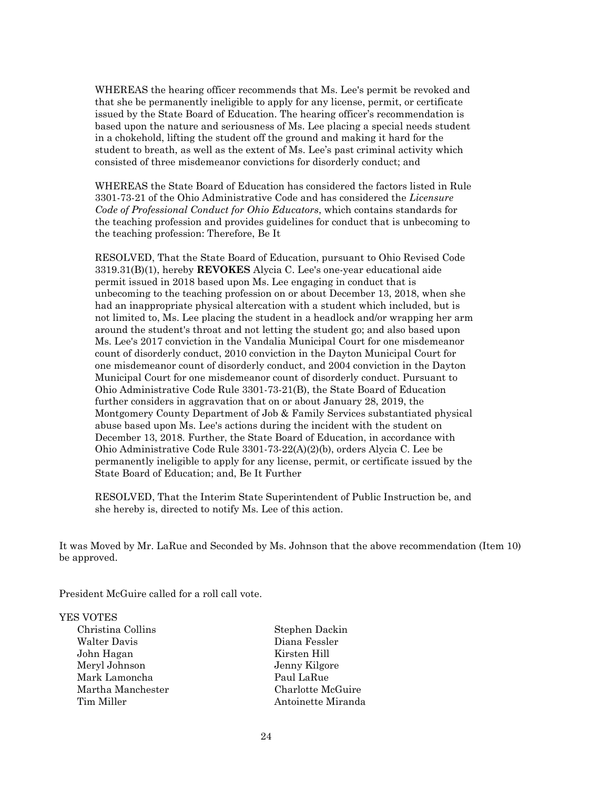WHEREAS the hearing officer recommends that Ms. Lee's permit be revoked and that she be permanently ineligible to apply for any license, permit, or certificate issued by the State Board of Education. The hearing officer's recommendation is based upon the nature and seriousness of Ms. Lee placing a special needs student in a chokehold, lifting the student off the ground and making it hard for the student to breath, as well as the extent of Ms. Lee's past criminal activity which consisted of three misdemeanor convictions for disorderly conduct; and

WHEREAS the State Board of Education has considered the factors listed in Rule 3301-73-21 of the Ohio Administrative Code and has considered the *Licensure Code of Professional Conduct for Ohio Educators*, which contains standards for the teaching profession and provides guidelines for conduct that is unbecoming to the teaching profession: Therefore, Be It

RESOLVED, That the State Board of Education, pursuant to Ohio Revised Code 3319.31(B)(1), hereby **REVOKES** Alycia C. Lee's one-year educational aide permit issued in 2018 based upon Ms. Lee engaging in conduct that is unbecoming to the teaching profession on or about December 13, 2018, when she had an inappropriate physical altercation with a student which included, but is not limited to, Ms. Lee placing the student in a headlock and/or wrapping her arm around the student's throat and not letting the student go; and also based upon Ms. Lee's 2017 conviction in the Vandalia Municipal Court for one misdemeanor count of disorderly conduct, 2010 conviction in the Dayton Municipal Court for one misdemeanor count of disorderly conduct, and 2004 conviction in the Dayton Municipal Court for one misdemeanor count of disorderly conduct. Pursuant to Ohio Administrative Code Rule 3301-73-21(B), the State Board of Education further considers in aggravation that on or about January 28, 2019, the Montgomery County Department of Job & Family Services substantiated physical abuse based upon Ms. Lee's actions during the incident with the student on December 13, 2018. Further, the State Board of Education, in accordance with Ohio Administrative Code Rule 3301-73-22(A)(2)(b), orders Alycia C. Lee be permanently ineligible to apply for any license, permit, or certificate issued by the State Board of Education; and, Be It Further

RESOLVED, That the Interim State Superintendent of Public Instruction be, and she hereby is, directed to notify Ms. Lee of this action.

It was Moved by Mr. LaRue and Seconded by Ms. Johnson that the above recommendation (Item 10) be approved.

President McGuire called for a roll call vote.

#### YES VOTES

| Christina Collins |
|-------------------|
| Walter Davis      |
| John Hagan        |
| Meryl Johnson     |
| Mark Lamoncha     |
| Martha Manchester |
| Tim Miller        |

Stephen Dackin Diana Fessler Kirsten Hill Jenny Kilgore Paul LaRue Charlotte McGuire Antoinette Miranda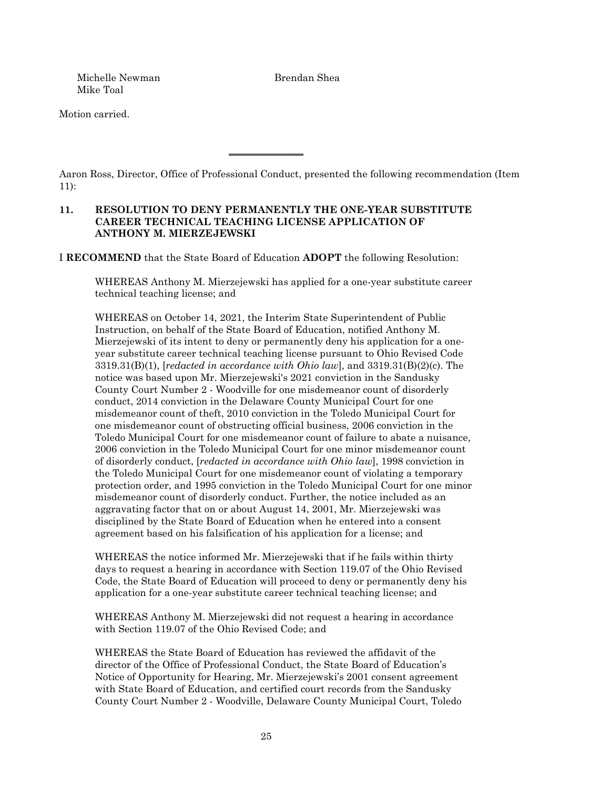Michelle Newman Brendan Shea Mike Toal

Motion carried.

Aaron Ross, Director, Office of Professional Conduct, presented the following recommendation (Item 11):

## **11. RESOLUTION TO DENY PERMANENTLY THE ONE-YEAR SUBSTITUTE CAREER TECHNICAL TEACHING LICENSE APPLICATION OF ANTHONY M. MIERZEJEWSKI**

 $\overline{\phantom{a}}$  , where  $\overline{\phantom{a}}$  , where  $\overline{\phantom{a}}$ 

I **RECOMMEND** that the State Board of Education **ADOPT** the following Resolution:

WHEREAS Anthony M. Mierzejewski has applied for a one-year substitute career technical teaching license; and

WHEREAS on October 14, 2021, the Interim State Superintendent of Public Instruction, on behalf of the State Board of Education, notified Anthony M. Mierzejewski of its intent to deny or permanently deny his application for a oneyear substitute career technical teaching license pursuant to Ohio Revised Code 3319.31(B)(1), [*redacted in accordance with Ohio law*], and 3319.31(B)(2)(c). The notice was based upon Mr. Mierzejewski's 2021 conviction in the Sandusky County Court Number 2 - Woodville for one misdemeanor count of disorderly conduct, 2014 conviction in the Delaware County Municipal Court for one misdemeanor count of theft, 2010 conviction in the Toledo Municipal Court for one misdemeanor count of obstructing official business, 2006 conviction in the Toledo Municipal Court for one misdemeanor count of failure to abate a nuisance, 2006 conviction in the Toledo Municipal Court for one minor misdemeanor count of disorderly conduct, [*redacted in accordance with Ohio law*], 1998 conviction in the Toledo Municipal Court for one misdemeanor count of violating a temporary protection order, and 1995 conviction in the Toledo Municipal Court for one minor misdemeanor count of disorderly conduct. Further, the notice included as an aggravating factor that on or about August 14, 2001, Mr. Mierzejewski was disciplined by the State Board of Education when he entered into a consent agreement based on his falsification of his application for a license; and

WHEREAS the notice informed Mr. Mierzejewski that if he fails within thirty days to request a hearing in accordance with Section 119.07 of the Ohio Revised Code, the State Board of Education will proceed to deny or permanently deny his application for a one-year substitute career technical teaching license; and

WHEREAS Anthony M. Mierzejewski did not request a hearing in accordance with Section 119.07 of the Ohio Revised Code; and

WHEREAS the State Board of Education has reviewed the affidavit of the director of the Office of Professional Conduct, the State Board of Education's Notice of Opportunity for Hearing, Mr. Mierzejewski's 2001 consent agreement with State Board of Education, and certified court records from the Sandusky County Court Number 2 - Woodville, Delaware County Municipal Court, Toledo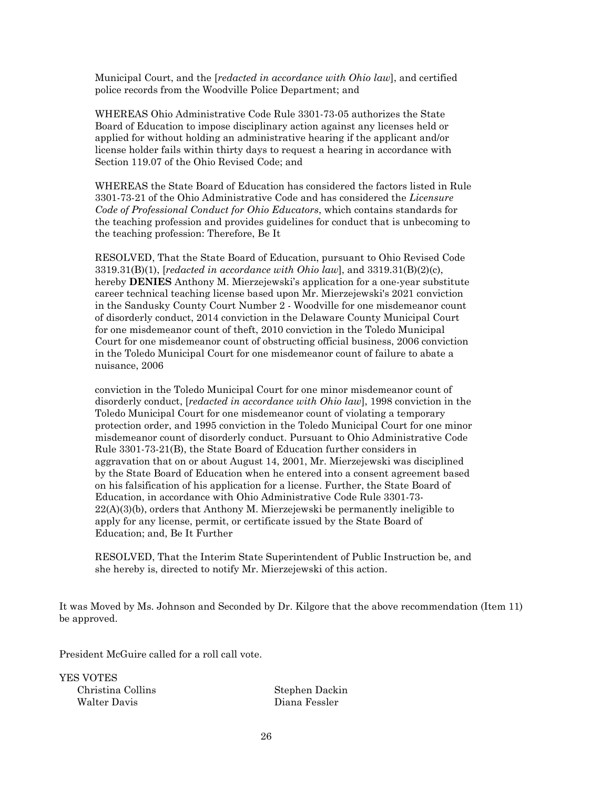Municipal Court, and the [*redacted in accordance with Ohio law*], and certified police records from the Woodville Police Department; and

WHEREAS Ohio Administrative Code Rule 3301-73-05 authorizes the State Board of Education to impose disciplinary action against any licenses held or applied for without holding an administrative hearing if the applicant and/or license holder fails within thirty days to request a hearing in accordance with Section 119.07 of the Ohio Revised Code; and

WHEREAS the State Board of Education has considered the factors listed in Rule 3301-73-21 of the Ohio Administrative Code and has considered the *Licensure Code of Professional Conduct for Ohio Educators*, which contains standards for the teaching profession and provides guidelines for conduct that is unbecoming to the teaching profession: Therefore, Be It

RESOLVED, That the State Board of Education, pursuant to Ohio Revised Code 3319.31(B)(1), [*redacted in accordance with Ohio law*], and 3319.31(B)(2)(c), hereby **DENIES** Anthony M. Mierzejewski's application for a one-year substitute career technical teaching license based upon Mr. Mierzejewski's 2021 conviction in the Sandusky County Court Number 2 - Woodville for one misdemeanor count of disorderly conduct, 2014 conviction in the Delaware County Municipal Court for one misdemeanor count of theft, 2010 conviction in the Toledo Municipal Court for one misdemeanor count of obstructing official business, 2006 conviction in the Toledo Municipal Court for one misdemeanor count of failure to abate a nuisance, 2006

conviction in the Toledo Municipal Court for one minor misdemeanor count of disorderly conduct, [*redacted in accordance with Ohio law*], 1998 conviction in the Toledo Municipal Court for one misdemeanor count of violating a temporary protection order, and 1995 conviction in the Toledo Municipal Court for one minor misdemeanor count of disorderly conduct. Pursuant to Ohio Administrative Code Rule 3301-73-21(B), the State Board of Education further considers in aggravation that on or about August 14, 2001, Mr. Mierzejewski was disciplined by the State Board of Education when he entered into a consent agreement based on his falsification of his application for a license. Further, the State Board of Education, in accordance with Ohio Administrative Code Rule 3301-73- 22(A)(3)(b), orders that Anthony M. Mierzejewski be permanently ineligible to apply for any license, permit, or certificate issued by the State Board of Education; and, Be It Further

RESOLVED, That the Interim State Superintendent of Public Instruction be, and she hereby is, directed to notify Mr. Mierzejewski of this action.

It was Moved by Ms. Johnson and Seconded by Dr. Kilgore that the above recommendation (Item 11) be approved.

President McGuire called for a roll call vote.

YES VOTES Christina Collins Stephen Dackin Walter Davis Diana Fessler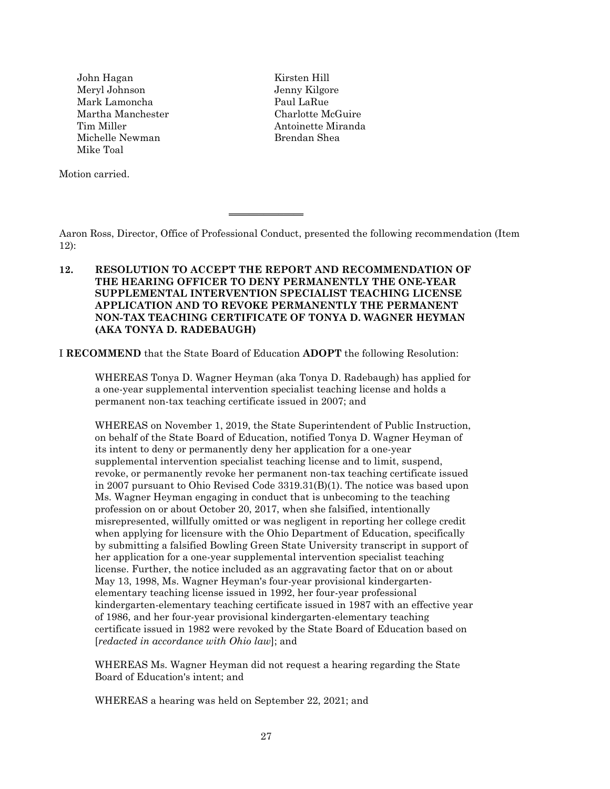John Hagan Kirsten Hill Meryl Johnson Jenny Kilgore Mark Lamoncha **Paul LaRue** Martha Manchester Charlotte McGuire Tim Miller **Antoinette Miranda** Michelle Newman Brendan Shea Mike Toal

Motion carried.

Aaron Ross, Director, Office of Professional Conduct, presented the following recommendation (Item 12):

# **12. RESOLUTION TO ACCEPT THE REPORT AND RECOMMENDATION OF THE HEARING OFFICER TO DENY PERMANENTLY THE ONE-YEAR SUPPLEMENTAL INTERVENTION SPECIALIST TEACHING LICENSE APPLICATION AND TO REVOKE PERMANENTLY THE PERMANENT NON-TAX TEACHING CERTIFICATE OF TONYA D. WAGNER HEYMAN (AKA TONYA D. RADEBAUGH)**

 $\overline{\phantom{a}}$  , where  $\overline{\phantom{a}}$ 

I **RECOMMEND** that the State Board of Education **ADOPT** the following Resolution:

WHEREAS Tonya D. Wagner Heyman (aka Tonya D. Radebaugh) has applied for a one-year supplemental intervention specialist teaching license and holds a permanent non-tax teaching certificate issued in 2007; and

WHEREAS on November 1, 2019, the State Superintendent of Public Instruction, on behalf of the State Board of Education, notified Tonya D. Wagner Heyman of its intent to deny or permanently deny her application for a one-year supplemental intervention specialist teaching license and to limit, suspend, revoke, or permanently revoke her permanent non-tax teaching certificate issued in 2007 pursuant to Ohio Revised Code 3319.31(B)(1). The notice was based upon Ms. Wagner Heyman engaging in conduct that is unbecoming to the teaching profession on or about October 20, 2017, when she falsified, intentionally misrepresented, willfully omitted or was negligent in reporting her college credit when applying for licensure with the Ohio Department of Education, specifically by submitting a falsified Bowling Green State University transcript in support of her application for a one-year supplemental intervention specialist teaching license. Further, the notice included as an aggravating factor that on or about May 13, 1998, Ms. Wagner Heyman's four-year provisional kindergartenelementary teaching license issued in 1992, her four-year professional kindergarten-elementary teaching certificate issued in 1987 with an effective year of 1986, and her four-year provisional kindergarten-elementary teaching certificate issued in 1982 were revoked by the State Board of Education based on [*redacted in accordance with Ohio law*]; and

WHEREAS Ms. Wagner Heyman did not request a hearing regarding the State Board of Education's intent; and

WHEREAS a hearing was held on September 22, 2021; and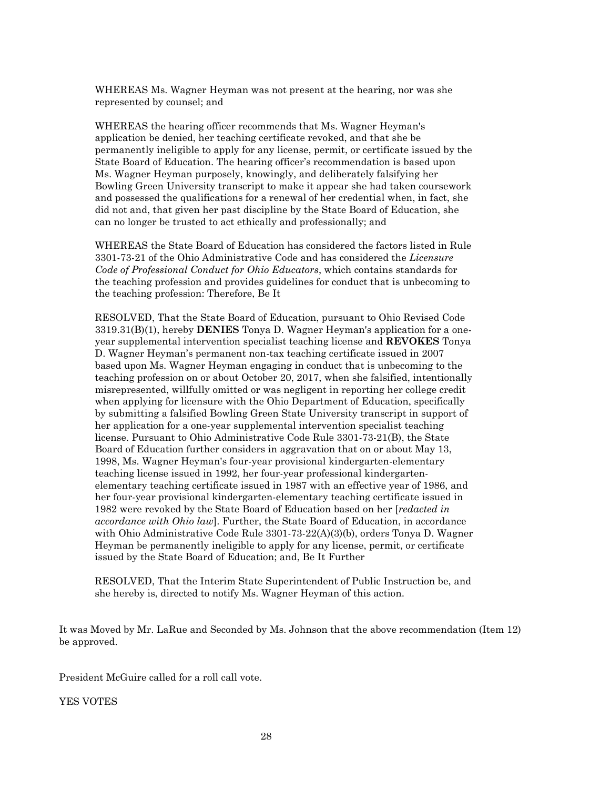WHEREAS Ms. Wagner Heyman was not present at the hearing, nor was she represented by counsel; and

WHEREAS the hearing officer recommends that Ms. Wagner Heyman's application be denied, her teaching certificate revoked, and that she be permanently ineligible to apply for any license, permit, or certificate issued by the State Board of Education. The hearing officer's recommendation is based upon Ms. Wagner Heyman purposely, knowingly, and deliberately falsifying her Bowling Green University transcript to make it appear she had taken coursework and possessed the qualifications for a renewal of her credential when, in fact, she did not and, that given her past discipline by the State Board of Education, she can no longer be trusted to act ethically and professionally; and

WHEREAS the State Board of Education has considered the factors listed in Rule 3301-73-21 of the Ohio Administrative Code and has considered the *Licensure Code of Professional Conduct for Ohio Educators*, which contains standards for the teaching profession and provides guidelines for conduct that is unbecoming to the teaching profession: Therefore, Be It

RESOLVED, That the State Board of Education, pursuant to Ohio Revised Code 3319.31(B)(1), hereby **DENIES** Tonya D. Wagner Heyman's application for a oneyear supplemental intervention specialist teaching license and **REVOKES** Tonya D. Wagner Heyman's permanent non-tax teaching certificate issued in 2007 based upon Ms. Wagner Heyman engaging in conduct that is unbecoming to the teaching profession on or about October 20, 2017, when she falsified, intentionally misrepresented, willfully omitted or was negligent in reporting her college credit when applying for licensure with the Ohio Department of Education, specifically by submitting a falsified Bowling Green State University transcript in support of her application for a one-year supplemental intervention specialist teaching license. Pursuant to Ohio Administrative Code Rule 3301-73-21(B), the State Board of Education further considers in aggravation that on or about May 13, 1998, Ms. Wagner Heyman's four-year provisional kindergarten-elementary teaching license issued in 1992, her four-year professional kindergartenelementary teaching certificate issued in 1987 with an effective year of 1986, and her four-year provisional kindergarten-elementary teaching certificate issued in 1982 were revoked by the State Board of Education based on her [*redacted in accordance with Ohio law*]. Further, the State Board of Education, in accordance with Ohio Administrative Code Rule 3301-73-22(A)(3)(b), orders Tonya D. Wagner Heyman be permanently ineligible to apply for any license, permit, or certificate issued by the State Board of Education; and, Be It Further

RESOLVED, That the Interim State Superintendent of Public Instruction be, and she hereby is, directed to notify Ms. Wagner Heyman of this action.

It was Moved by Mr. LaRue and Seconded by Ms. Johnson that the above recommendation (Item 12) be approved.

President McGuire called for a roll call vote.

YES VOTES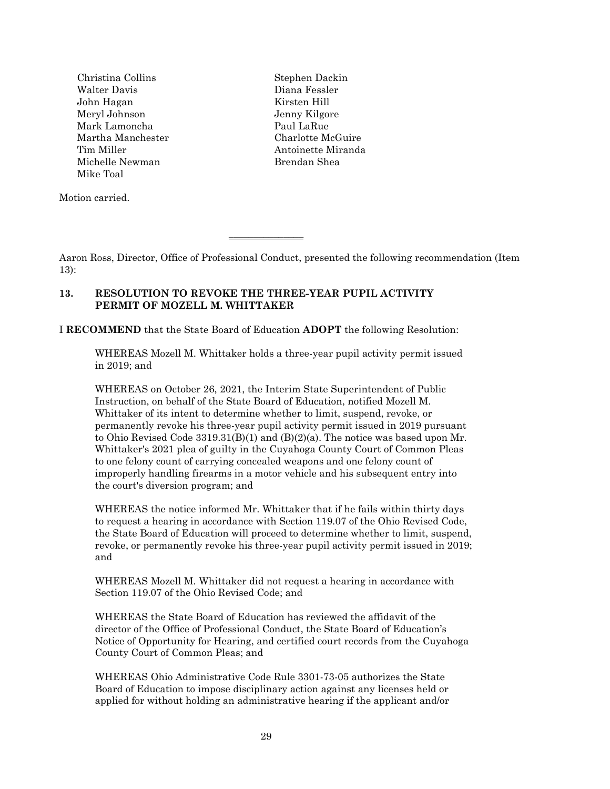Christina Collins Stephen Dackin Walter Davis Diana Fessler John Hagan Kirsten Hill Meryl Johnson Jenny Kilgore Mark Lamoncha **Paul LaRue** Martha Manchester Charlotte McGuire Tim Miller **Antoinette Miranda** Michelle Newman Brendan Shea Mike Toal

Motion carried.

Aaron Ross, Director, Office of Professional Conduct, presented the following recommendation (Item 13):

# **13. RESOLUTION TO REVOKE THE THREE-YEAR PUPIL ACTIVITY PERMIT OF MOZELL M. WHITTAKER**

I **RECOMMEND** that the State Board of Education **ADOPT** the following Resolution:

 $\overline{\phantom{a}}$  , where  $\overline{\phantom{a}}$ 

WHEREAS Mozell M. Whittaker holds a three-year pupil activity permit issued in 2019; and

WHEREAS on October 26, 2021, the Interim State Superintendent of Public Instruction, on behalf of the State Board of Education, notified Mozell M. Whittaker of its intent to determine whether to limit, suspend, revoke, or permanently revoke his three-year pupil activity permit issued in 2019 pursuant to Ohio Revised Code 3319.31(B)(1) and (B)(2)(a). The notice was based upon Mr. Whittaker's 2021 plea of guilty in the Cuyahoga County Court of Common Pleas to one felony count of carrying concealed weapons and one felony count of improperly handling firearms in a motor vehicle and his subsequent entry into the court's diversion program; and

WHEREAS the notice informed Mr. Whittaker that if he fails within thirty days to request a hearing in accordance with Section 119.07 of the Ohio Revised Code, the State Board of Education will proceed to determine whether to limit, suspend, revoke, or permanently revoke his three-year pupil activity permit issued in 2019; and

WHEREAS Mozell M. Whittaker did not request a hearing in accordance with Section 119.07 of the Ohio Revised Code; and

WHEREAS the State Board of Education has reviewed the affidavit of the director of the Office of Professional Conduct, the State Board of Education's Notice of Opportunity for Hearing, and certified court records from the Cuyahoga County Court of Common Pleas; and

WHEREAS Ohio Administrative Code Rule 3301-73-05 authorizes the State Board of Education to impose disciplinary action against any licenses held or applied for without holding an administrative hearing if the applicant and/or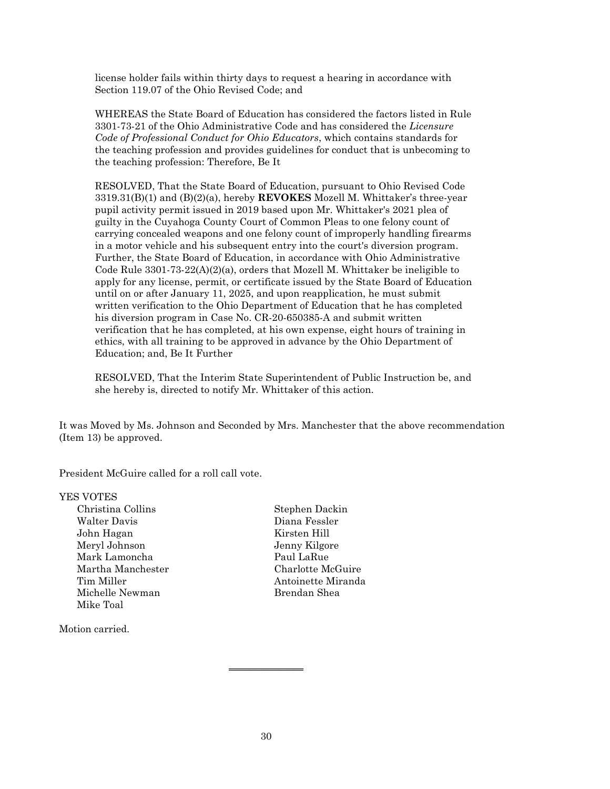license holder fails within thirty days to request a hearing in accordance with Section 119.07 of the Ohio Revised Code; and

WHEREAS the State Board of Education has considered the factors listed in Rule 3301-73-21 of the Ohio Administrative Code and has considered the *Licensure Code of Professional Conduct for Ohio Educators*, which contains standards for the teaching profession and provides guidelines for conduct that is unbecoming to the teaching profession: Therefore, Be It

RESOLVED, That the State Board of Education, pursuant to Ohio Revised Code 3319.31(B)(1) and (B)(2)(a), hereby **REVOKES** Mozell M. Whittaker's three-year pupil activity permit issued in 2019 based upon Mr. Whittaker's 2021 plea of guilty in the Cuyahoga County Court of Common Pleas to one felony count of carrying concealed weapons and one felony count of improperly handling firearms in a motor vehicle and his subsequent entry into the court's diversion program. Further, the State Board of Education, in accordance with Ohio Administrative Code Rule  $3301-73-22(A)(2)(a)$ , orders that Mozell M. Whittaker be ineligible to apply for any license, permit, or certificate issued by the State Board of Education until on or after January 11, 2025, and upon reapplication, he must submit written verification to the Ohio Department of Education that he has completed his diversion program in Case No. CR-20-650385-A and submit written verification that he has completed, at his own expense, eight hours of training in ethics, with all training to be approved in advance by the Ohio Department of Education; and, Be It Further

RESOLVED, That the Interim State Superintendent of Public Instruction be, and she hereby is, directed to notify Mr. Whittaker of this action.

It was Moved by Ms. Johnson and Seconded by Mrs. Manchester that the above recommendation (Item 13) be approved.

President McGuire called for a roll call vote.

### YES VOTES

| Christina Collins   |
|---------------------|
| <b>Walter Davis</b> |
| John Hagan          |
| Meryl Johnson       |
| Mark Lamoncha       |
| Martha Manchester   |
| Tim Miller          |
| Michelle Newman     |
| Mike Toal           |

Motion carried.

Stephen Dackin Diana Fessler Kirsten Hill Jenny Kilgore Paul LaRue Charlotte McGuire Antoinette Miranda Brendan Shea

 $\overline{\phantom{a}}$  , where  $\overline{\phantom{a}}$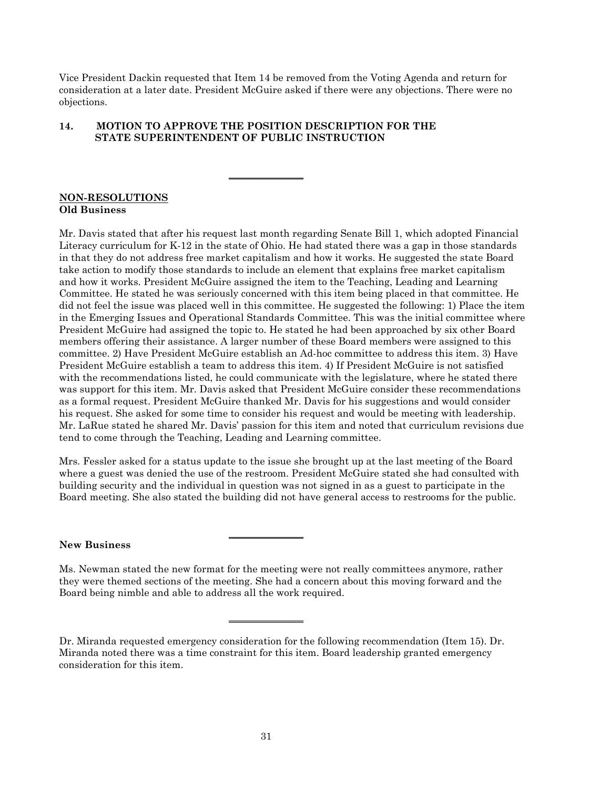Vice President Dackin requested that Item 14 be removed from the Voting Agenda and return for consideration at a later date. President McGuire asked if there were any objections. There were no objections.

# **14. MOTION TO APPROVE THE POSITION DESCRIPTION FOR THE STATE SUPERINTENDENT OF PUBLIC INSTRUCTION**

 $\overline{\phantom{a}}$  , where  $\overline{\phantom{a}}$  , where  $\overline{\phantom{a}}$ 

### **NON-RESOLUTIONS Old Business**

Mr. Davis stated that after his request last month regarding Senate Bill 1, which adopted Financial Literacy curriculum for K-12 in the state of Ohio. He had stated there was a gap in those standards in that they do not address free market capitalism and how it works. He suggested the state Board take action to modify those standards to include an element that explains free market capitalism and how it works. President McGuire assigned the item to the Teaching, Leading and Learning Committee. He stated he was seriously concerned with this item being placed in that committee. He did not feel the issue was placed well in this committee. He suggested the following: 1) Place the item in the Emerging Issues and Operational Standards Committee. This was the initial committee where President McGuire had assigned the topic to. He stated he had been approached by six other Board members offering their assistance. A larger number of these Board members were assigned to this committee. 2) Have President McGuire establish an Ad-hoc committee to address this item. 3) Have President McGuire establish a team to address this item. 4) If President McGuire is not satisfied with the recommendations listed, he could communicate with the legislature, where he stated there was support for this item. Mr. Davis asked that President McGuire consider these recommendations as a formal request. President McGuire thanked Mr. Davis for his suggestions and would consider his request. She asked for some time to consider his request and would be meeting with leadership. Mr. LaRue stated he shared Mr. Davis' passion for this item and noted that curriculum revisions due tend to come through the Teaching, Leading and Learning committee.

Mrs. Fessler asked for a status update to the issue she brought up at the last meeting of the Board where a guest was denied the use of the restroom. President McGuire stated she had consulted with building security and the individual in question was not signed in as a guest to participate in the Board meeting. She also stated the building did not have general access to restrooms for the public.

### **New Business**

Ms. Newman stated the new format for the meeting were not really committees anymore, rather they were themed sections of the meeting. She had a concern about this moving forward and the Board being nimble and able to address all the work required.

 $\overline{\phantom{a}}$  , where  $\overline{\phantom{a}}$ 

 $\overline{\phantom{a}}$  , where  $\overline{\phantom{a}}$ 

Dr. Miranda requested emergency consideration for the following recommendation (Item 15). Dr. Miranda noted there was a time constraint for this item. Board leadership granted emergency consideration for this item.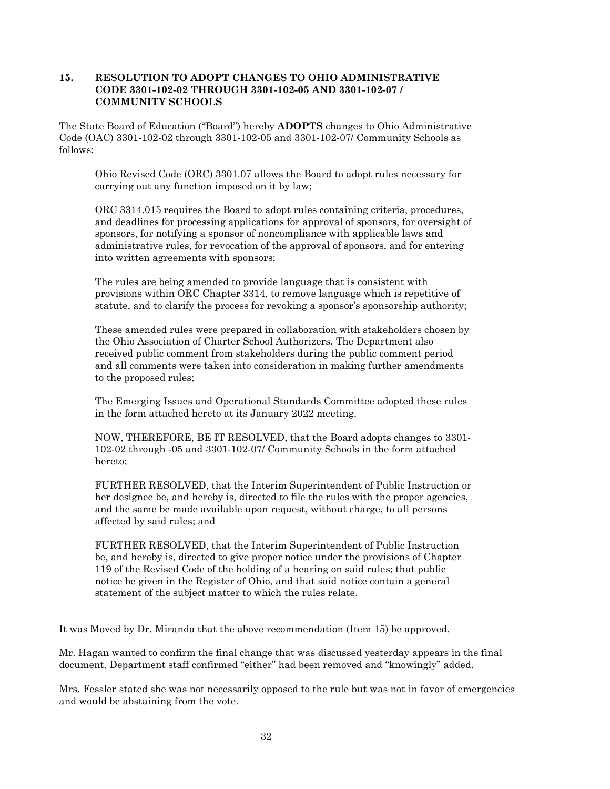## **15. RESOLUTION TO ADOPT CHANGES TO OHIO ADMINISTRATIVE CODE 3301-102-02 THROUGH 3301-102-05 AND 3301-102-07 / COMMUNITY SCHOOLS**

The State Board of Education ("Board") hereby **ADOPTS** changes to Ohio Administrative Code (OAC) 3301-102-02 through 3301-102-05 and 3301-102-07/ Community Schools as follows:

Ohio Revised Code (ORC) 3301.07 allows the Board to adopt rules necessary for carrying out any function imposed on it by law;

ORC 3314.015 requires the Board to adopt rules containing criteria, procedures, and deadlines for processing applications for approval of sponsors, for oversight of sponsors, for notifying a sponsor of noncompliance with applicable laws and administrative rules, for revocation of the approval of sponsors, and for entering into written agreements with sponsors;

The rules are being amended to provide language that is consistent with provisions within ORC Chapter 3314, to remove language which is repetitive of statute, and to clarify the process for revoking a sponsor's sponsorship authority;

These amended rules were prepared in collaboration with stakeholders chosen by the Ohio Association of Charter School Authorizers. The Department also received public comment from stakeholders during the public comment period and all comments were taken into consideration in making further amendments to the proposed rules;

The Emerging Issues and Operational Standards Committee adopted these rules in the form attached hereto at its January 2022 meeting.

NOW, THEREFORE, BE IT RESOLVED, that the Board adopts changes to 3301- 102-02 through -05 and 3301-102-07/ Community Schools in the form attached hereto;

FURTHER RESOLVED, that the Interim Superintendent of Public Instruction or her designee be, and hereby is, directed to file the rules with the proper agencies, and the same be made available upon request, without charge, to all persons affected by said rules; and

FURTHER RESOLVED, that the Interim Superintendent of Public Instruction be, and hereby is, directed to give proper notice under the provisions of Chapter 119 of the Revised Code of the holding of a hearing on said rules; that public notice be given in the Register of Ohio, and that said notice contain a general statement of the subject matter to which the rules relate.

It was Moved by Dr. Miranda that the above recommendation (Item 15) be approved.

Mr. Hagan wanted to confirm the final change that was discussed yesterday appears in the final document. Department staff confirmed "either" had been removed and "knowingly" added.

Mrs. Fessler stated she was not necessarily opposed to the rule but was not in favor of emergencies and would be abstaining from the vote.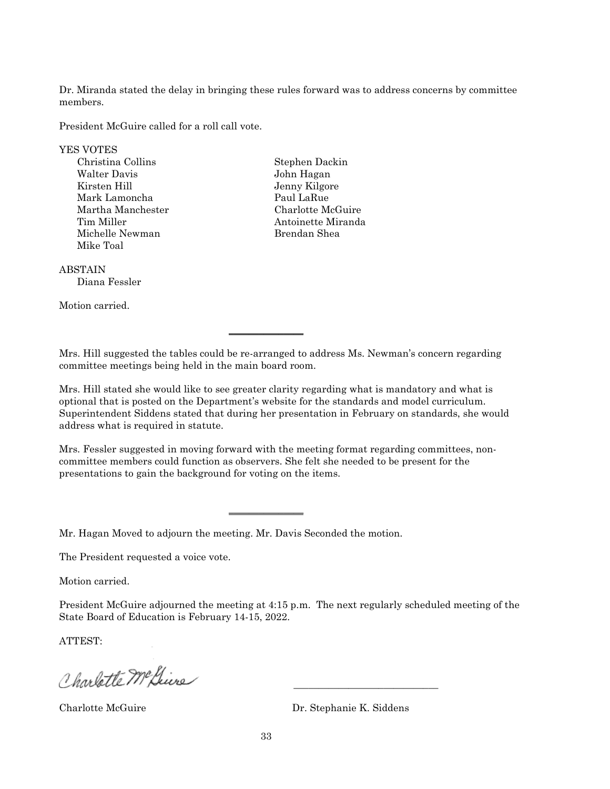Dr. Miranda stated the delay in bringing these rules forward was to address concerns by committee members.

President McGuire called for a roll call vote.

YES VOTES

Christina Collins Stephen Dackin Walter Davis John Hagan Kirsten Hill Jenny Kilgore Mark Lamoncha Paul LaRue Martha Manchester Charlotte McGuire Michelle Newman Brendan Shea Mike Toal

Tim Miller **Antoinette Miranda** 

ABSTAIN

Diana Fessler

Motion carried.

Mrs. Hill suggested the tables could be re-arranged to address Ms. Newman's concern regarding committee meetings being held in the main board room.

 $\overline{\phantom{a}}$  , where  $\overline{\phantom{a}}$  , where  $\overline{\phantom{a}}$ 

Mrs. Hill stated she would like to see greater clarity regarding what is mandatory and what is optional that is posted on the Department's website for the standards and model curriculum. Superintendent Siddens stated that during her presentation in February on standards, she would address what is required in statute.

Mrs. Fessler suggested in moving forward with the meeting format regarding committees, noncommittee members could function as observers. She felt she needed to be present for the presentations to gain the background for voting on the items.

 $\overline{\phantom{a}}$  , where  $\overline{\phantom{a}}$ 

Mr. Hagan Moved to adjourn the meeting. Mr. Davis Seconded the motion.

The President requested a voice vote.

Motion carried.

President McGuire adjourned the meeting at 4:15 p.m. The next regularly scheduled meeting of the State Board of Education is February 14-15, 2022.

ATTEST:

Charlotte Mc Gius

Charlotte McGuire Dr. Stephanie K. Siddens

 $\frac{1}{2}$  ,  $\frac{1}{2}$  ,  $\frac{1}{2}$  ,  $\frac{1}{2}$  ,  $\frac{1}{2}$  ,  $\frac{1}{2}$  ,  $\frac{1}{2}$  ,  $\frac{1}{2}$  ,  $\frac{1}{2}$  ,  $\frac{1}{2}$  ,  $\frac{1}{2}$  ,  $\frac{1}{2}$  ,  $\frac{1}{2}$  ,  $\frac{1}{2}$  ,  $\frac{1}{2}$  ,  $\frac{1}{2}$  ,  $\frac{1}{2}$  ,  $\frac{1}{2}$  ,  $\frac{1$